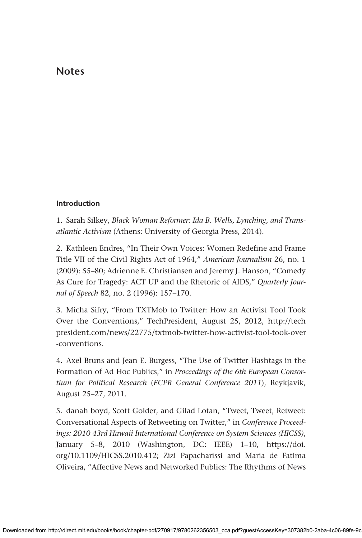# **Notes**

### **Introduction**

1. Sarah Silkey, *Black Woman Reformer: Ida B. Wells, Lynching, and Transatlantic Activism* (Athens: University of Georgia Press, 2014).

2. Kathleen Endres, "In Their Own Voices: Women Redefine and Frame Title VII of the Civil Rights Act of 1964," *American Journalism* 26, no. 1 (2009): 55–80; Adrienne E. Christiansen and Jeremy J. Hanson, "Comedy As Cure for Tragedy: ACT UP and the Rhetoric of AIDS," *Quarterly Journal of Speech* 82, no. 2 (1996): 157–170.

3. Micha Sifry, "From TXTMob to Twitter: How an Activist Tool Took Over the Conventions," TechPresident, August 25, 2012, [http://tech](http://techpresident.com/news/22775/txtmob-twitter-how-activist-tool-took-over-conventions) [president.com/news/22775/txtmob-twitter-how-activist-tool-took-over](http://techpresident.com/news/22775/txtmob-twitter-how-activist-tool-took-over-conventions) [-conventions.](http://techpresident.com/news/22775/txtmob-twitter-how-activist-tool-took-over-conventions)

4. Axel Bruns and Jean E. Burgess, "The Use of Twitter Hashtags in the Formation of Ad Hoc Publics," in *Proceedings of the 6th European Consortium for Political Research* (*ECPR General Conference 2011*), Reykjavik, August 25–27, 2011.

5. danah boyd, Scott Golder, and Gilad Lotan, "Tweet, Tweet, Retweet: Conversational Aspects of Retweeting on Twitter," in *Conference Proceedings: 2010 43rd Hawaii International Conference on System Sciences (HICSS)*, January 5–8, 2010 (Washington, DC: IEEE) 1–10, [https://doi.](https://doi.org/10.1109/HICSS.2010.412) [org/10.1109/HICSS.2010.412;](https://doi.org/10.1109/HICSS.2010.412) Zizi Papacharissi and Maria de Fatima Oliveira, "Affective News and Networked Publics: The Rhythms of News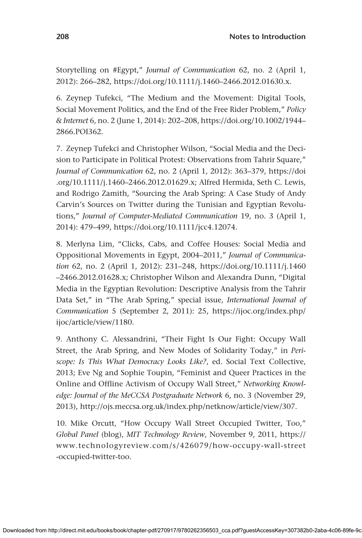Storytelling on #Egypt," *Journal of Communication* 62, no. 2 (April 1, 2012): 266–282, [https://doi.org/10.1111/j.1460–2466.2012.01630.x.](https://doi.org/10.1111/j.1460–2466.2012.01630.x)

6. Zeynep Tufekci, "The Medium and the Movement: Digital Tools, Social Movement Politics, and the End of the Free Rider Problem," *Policy & Internet* 6, no. 2 (June 1, 2014): 202–208, [https://doi.org/10.1002/1944–](https://doi.org/10.1002/1944–2866.POI362) [2866.POI362](https://doi.org/10.1002/1944–2866.POI362).

7. Zeynep Tufekci and Christopher Wilson, "Social Media and the Decision to Participate in Political Protest: Observations from Tahrir Square," *Journal of Communication* 62, no. 2 (April 1, 2012): 363–379, [https://doi](https://doi.org/10.1111/j.1460–2466.2012.01629.x) [.org/10.1111/j.1460–2466.2012.01629.x](https://doi.org/10.1111/j.1460–2466.2012.01629.x); Alfred Hermida, Seth C. Lewis, and Rodrigo Zamith, "Sourcing the Arab Spring: A Case Study of Andy Carvin's Sources on Twitter during the Tunisian and Egyptian Revolutions," *Journal of Computer-Mediated Communication* 19, no. 3 (April 1, 2014): 479–499, [https://doi.org/10.1111/jcc4.12074.](https://doi.org/10.1111/jcc4.12074)

8. Merlyna Lim, "Clicks, Cabs, and Coffee Houses: Social Media and Oppositional Movements in Egypt, 2004–2011," *Journal of Communication* 62, no. 2 (April 1, 2012): 231–248, [https://doi.org/10.1111/j.1460](https://doi.org/10.1111/j.1460–2466.2012.01628.x) [–2466.2012.01628.x;](https://doi.org/10.1111/j.1460–2466.2012.01628.x) Christopher Wilson and Alexandra Dunn, "Digital Media in the Egyptian Revolution: Descriptive Analysis from the Tahrir Data Set," in "The Arab Spring," special issue, *International Journal of Communication* 5 (September 2, 2011): 25, [https://ijoc.org/index.php/](https://ijoc.org/index.php/ijoc/article/view/1180) [ijoc/article/view/1180](https://ijoc.org/index.php/ijoc/article/view/1180).

9. Anthony C. Alessandrini, "Their Fight Is Our Fight: Occupy Wall Street, the Arab Spring, and New Modes of Solidarity Today," in *Periscope: Is This What Democracy Looks Like?*, ed. Social Text Collective, 2013; Eve Ng and Sophie Toupin, "Feminist and Queer Practices in the Online and Offline Activism of Occupy Wall Street," *Networking Knowledge: Journal of the MeCCSA Postgraduate Network* 6, no. 3 (November 29, 2013), [http://ojs.meccsa.org.uk/index.php/netknow/article/view/307.](http://ojs.meccsa.org.uk/index.php/netknow/article/view/307)

10. Mike Orcutt, "How Occupy Wall Street Occupied Twitter, Too," *Global Panel* (blog), *MIT Technology Review*, November 9, 2011, [https://](https://www.technologyreview.com/s/426079/how-occupy-wall-street-occupied-twitter-too) [www.technologyreview.com/s/426079/how-occupy-wall-street](https://www.technologyreview.com/s/426079/how-occupy-wall-street-occupied-twitter-too) [-occupied-twitter-too](https://www.technologyreview.com/s/426079/how-occupy-wall-street-occupied-twitter-too).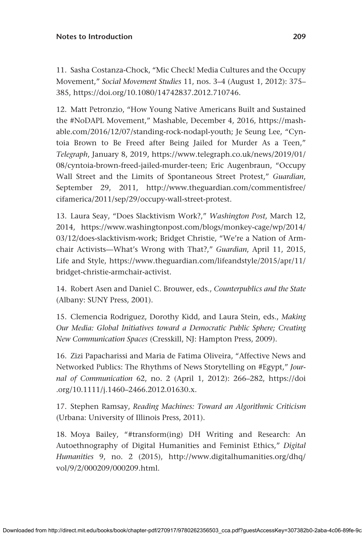11. Sasha Costanza-Chock, "Mic Check! Media Cultures and the Occupy Movement," *Social Movement Studies* 11, nos. 3–4 (August 1, 2012): 375– 385,<https://doi.org/10.1080/14742837.2012.710746>.

12. Matt Petronzio, "How Young Native Americans Built and Sustained the #NoDAPL Movement," Mashable, December 4, 2016, [https://mash](https://mashable.com/2016/12/07/standing-rock-nodapl-youth)[able.com/2016/12/07/standing-rock-nodapl-youth](https://mashable.com/2016/12/07/standing-rock-nodapl-youth); Je Seung Lee, "Cyntoia Brown to Be Freed after Being Jailed for Murder As a Teen," *Telegraph*, January 8, 2019, [https://www.telegraph.co.uk/news/2019/01/](https://www.telegraph.co.uk/news/2019/01/08/cyntoia-brown-freed-jailed-murder-teen) [08/cyntoia-brown-freed-jailed-murder-teen](https://www.telegraph.co.uk/news/2019/01/08/cyntoia-brown-freed-jailed-murder-teen); Eric Augenbraun, "Occupy Wall Street and the Limits of Spontaneous Street Protest," *Guardian*, September 29, 2011, [http://www.theguardian.com/commentisfree/](http://www.theguardian.com/commentisfree/cifamerica/2011/sep/29/occupy-wall-street-protest) [cifamerica/2011/sep/29/occupy-wall-street-protest.](http://www.theguardian.com/commentisfree/cifamerica/2011/sep/29/occupy-wall-street-protest)

13. Laura Seay, "Does Slacktivism Work?," *Washington Post*, March 12, 2014, [https://www.washingtonpost.com/blogs/monkey-cage/wp/2014/](https://www.washingtonpost.com/blogs/monkey-cage/wp/2014/03/12/does-slacktivism-work) [03/12/does-slacktivism-work](https://www.washingtonpost.com/blogs/monkey-cage/wp/2014/03/12/does-slacktivism-work); Bridget Christie, "We're a Nation of Armchair Activists—What's Wrong with That?," *Guardian*, April 11, 2015, Life and Style, [https://www.theguardian.com/lifeandstyle/2015/apr/11/](https://www.theguardian.com/lifeandstyle/2015/apr/11/bridget-christie-armchair-activist) [bridget-christie-armchair-activist](https://www.theguardian.com/lifeandstyle/2015/apr/11/bridget-christie-armchair-activist).

14. Robert Asen and Daniel C. Brouwer, eds., *Counterpublics and the State* (Albany: SUNY Press, 2001).

15. Clemencia Rodriguez, Dorothy Kidd, and Laura Stein, eds., *Making Our Media: Global Initiatives toward a Democratic Public Sphere; Creating New Communication Spaces* (Cresskill, NJ: Hampton Press, 2009).

16. Zizi Papacharissi and Maria de Fatima Oliveira, "Affective News and Networked Publics: The Rhythms of News Storytelling on #Egypt," *Journal of Communication* 62, no. 2 (April 1, 2012): 266–282, [https://doi](https://doi.org/10.1111/j.1460–2466.2012.01630.x) [.org/10.1111/j.1460–2466.2012.01630.x](https://doi.org/10.1111/j.1460–2466.2012.01630.x).

17. Stephen Ramsay, *Reading Machines: Toward an Algorithmic Criticism* (Urbana: University of Illinois Press, 2011).

18. Moya Bailey, "#transform(ing) DH Writing and Research: An Autoethnography of Digital Humanities and Feminist Ethics," *Digital Humanities* 9, no. 2 (2015), [http://www.digitalhumanities.org/dhq/](http://www.digitalhumanities.org/dhq/vol/9/2/000209/000209.html) [vol/9/2/000209/000209.html.](http://www.digitalhumanities.org/dhq/vol/9/2/000209/000209.html)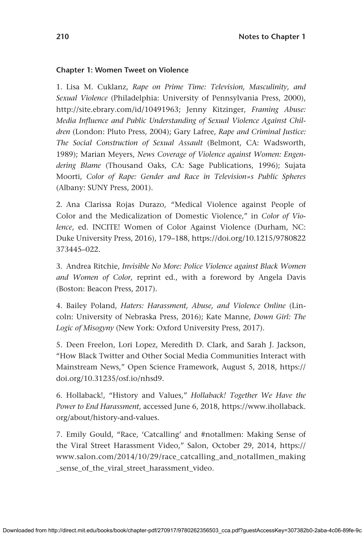#### **Chapter 1: Women Tweet on Violence**

1. Lisa M. Cuklanz, *Rape on Prime Time: Television, Masculinity, and Sexual Violence* (Philadelphia: University of Pennsylvania Press, 2000), <http://site.ebrary.com/id/10491963>; Jenny Kitzinger, *Framing Abuse: Media Influence and Public Understanding of Sexual Violence Against Children* (London: Pluto Press, 2004); Gary Lafree, *Rape and Criminal Justice: The Social Construction of Sexual Assault* (Belmont, CA: Wadsworth, 1989); Marian Meyers, *News Coverage of Violence against Women: Engendering Blame* (Thousand Oaks, CA: Sage Publications, 1996); Sujata Moorti, *Color of Rape: Gender and Race in Television»s Public Spheres* (Albany: SUNY Press, 2001).

2. Ana Clarissa Rojas Durazo, "Medical Violence against People of Color and the Medicalization of Domestic Violence," in *Color of Violence*, ed. INCITE! Women of Color Against Violence (Durham, NC: Duke University Press, 2016), 179–188, [https://doi.org/10.1215/9780822](https://doi.org/10.1215/9780822373445–022) [373445–022](https://doi.org/10.1215/9780822373445–022).

3. Andrea Ritchie, *Invisible No More: Police Violence against Black Women and Women of Color*, reprint ed., with a foreword by Angela Davis (Boston: Beacon Press, 2017).

4. Bailey Poland, *Haters: Harassment, Abuse, and Violence Online* (Lincoln: University of Nebraska Press, 2016); Kate Manne, *Down Girl: The Logic of Misogyny* (New York: Oxford University Press, 2017).

5. Deen Freelon, Lori Lopez, Meredith D. Clark, and Sarah J. Jackson, "How Black Twitter and Other Social Media Communities Interact with Mainstream News," Open Science Framework, August 5, 2018, [https://](https://doi.org/10.31235/osf.io/nhsd9) [doi.org/10.31235/osf.io/nhsd9](https://doi.org/10.31235/osf.io/nhsd9).

6. Hollaback!, "History and Values," *Hollaback! Together We Have the Power to End Harassment*, accessed June 6, 2018, [https://www.ihollaback.](https://www.ihollaback.org/about/history-and-values) [org/about/history-and-values](https://www.ihollaback.org/about/history-and-values).

7. Emily Gould, "Race, 'Catcalling' and #notallmen: Making Sense of the Viral Street Harassment Video," Salon, October 29, 2014, [https://](https://www.salon.com/2014/10/29/race_catcalling_and_notallmen_making_sense_of_the_viral_street_harassment_video) [www.salon.com/2014/10/29/race\\_catcalling\\_and\\_notallmen\\_making](https://www.salon.com/2014/10/29/race_catcalling_and_notallmen_making_sense_of_the_viral_street_harassment_video) [\\_sense\\_of\\_the\\_viral\\_street\\_harassment\\_video.](https://www.salon.com/2014/10/29/race_catcalling_and_notallmen_making_sense_of_the_viral_street_harassment_video)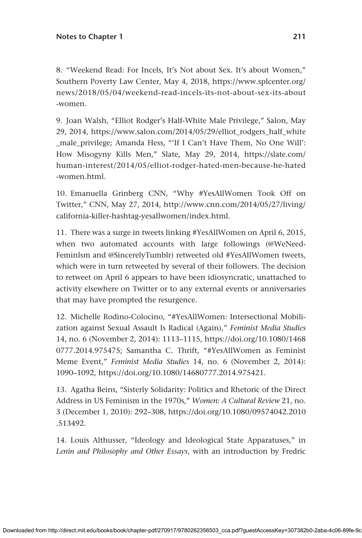8. "Weekend Read: For Incels, It's Not about Sex. It's about Women," Southern Poverty Law Center, May 4, 2018, [https://www.splcenter.org/](https://www.splcenter.org/news/2018/05/04/weekend-read-incels-its-not-about-sex-its-about-women) [news/2018/05/04/weekend-read-incels-its-not-about-sex-its-about](https://www.splcenter.org/news/2018/05/04/weekend-read-incels-its-not-about-sex-its-about-women) [-women](https://www.splcenter.org/news/2018/05/04/weekend-read-incels-its-not-about-sex-its-about-women).

9. Joan Walsh, "Elliot Rodger's Half-White Male Privilege," Salon, May 29, 2014, [https://www.salon.com/2014/05/29/elliot\\_rodgers\\_half\\_white](https://www.salon.com/2014/05/29/elliot_rodgers_half_white_male_privilege) [\\_male\\_privilege;](https://www.salon.com/2014/05/29/elliot_rodgers_half_white_male_privilege) Amanda Hess, "'If I Can't Have Them, No One Will': How Misogyny Kills Men," Slate, May 29, 2014, [https://slate.com/](https://slate.com/human-interest/2014/05/elliot-rodger-hated-men-because-he-hated-women.html) [human-interest/2014/05/elliot-rodger-hated-men-because-he-hated](https://slate.com/human-interest/2014/05/elliot-rodger-hated-men-because-he-hated-women.html) [-women.html.](https://slate.com/human-interest/2014/05/elliot-rodger-hated-men-because-he-hated-women.html)

10. Emanuella Grinberg CNN, "Why #YesAllWomen Took Off on Twitter," CNN, May 27, 2014, [http://www.cnn.com/2014/05/27/living/](http://www.cnn.com/2014/05/27/living/california-killer-hashtag-yesallwomen/index.html) [california-killer-hashtag-yesallwomen/index.html.](http://www.cnn.com/2014/05/27/living/california-killer-hashtag-yesallwomen/index.html)

11. There was a surge in tweets linking #YesAllWomen on April 6, 2015, when two automated accounts with large followings (@WeNeed-Feminlsm and @SincerelyTumblr) retweeted old #YesAllWomen tweets, which were in turn retweeted by several of their followers. The decision to retweet on April 6 appears to have been idiosyncratic, unattached to activity elsewhere on Twitter or to any external events or anniversaries that may have prompted the resurgence.

12. Michelle Rodino-Colocino, "#YesAllWomen: Intersectional Mobilization against Sexual Assault Is Radical (Again)," *Feminist Media Studies* 14, no. 6 (November 2, 2014): 1113–1115, [https://doi.org/10.1080/1468](https://doi.org/10.1080/14680777.2014.975475) [0777.2014.975475;](https://doi.org/10.1080/14680777.2014.975475) Samantha C. Thrift, "#YesAllWomen as Feminist Meme Event," *Feminist Media Studies* 14, no. 6 (November 2, 2014): 1090–1092,<https://doi.org/10.1080/14680777.2014.975421>.

13. Agatha Beins, "Sisterly Solidarity: Politics and Rhetoric of the Direct Address in US Feminism in the 1970s," *Women: A Cultural Review* 21, no. 3 (December 1, 2010): 292–308, [https://doi.org/10.1080/09574042.2010](https://doi.org/10.1080/09574042.2010.513492) [.513492.](https://doi.org/10.1080/09574042.2010.513492)

14. Louis Althusser, "Ideology and Ideological State Apparatuses," in *Lenin and Philosophy and Other Essays*, with an introduction by Fredric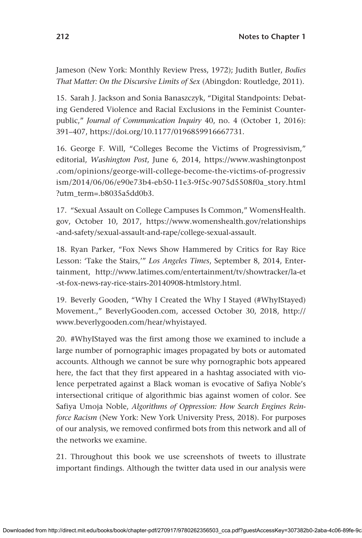Jameson (New York: Monthly Review Press, 1972); Judith Butler, *Bodies That Matter: On the Discursive Limits of Sex* (Abingdon: Routledge, 2011).

15. Sarah J. Jackson and Sonia Banaszczyk, "Digital Standpoints: Debating Gendered Violence and Racial Exclusions in the Feminist Counterpublic," *Journal of Communication Inquiry* 40, no. 4 (October 1, 2016): 391–407,<https://doi.org/10.1177/0196859916667731>.

16. George F. Will, "Colleges Become the Victims of Progressivism," editorial, *Washington Post*, June 6, 2014, [https://www.washingtonpost](https://www.washingtonpost.com/opinions/george-will-college-become-the-victims-of-progressivism/2014/06/06/e90e73b4-eb50-11e3-9f5c-9075d5508f0a_story.html?utm_term=.b8035a5dd0b3) [.com/opinions/george-will-college-become-the-victims-of-progressiv](https://www.washingtonpost.com/opinions/george-will-college-become-the-victims-of-progressivism/2014/06/06/e90e73b4-eb50-11e3-9f5c-9075d5508f0a_story.html?utm_term=.b8035a5dd0b3) [ism/2014/06/06/e90e73b4-eb50-11e3-9f5c-9075d5508f0a\\_story.html](https://www.washingtonpost.com/opinions/george-will-college-become-the-victims-of-progressivism/2014/06/06/e90e73b4-eb50-11e3-9f5c-9075d5508f0a_story.html?utm_term=.b8035a5dd0b3) [?utm\\_term=.b8035a5dd0b3](https://www.washingtonpost.com/opinions/george-will-college-become-the-victims-of-progressivism/2014/06/06/e90e73b4-eb50-11e3-9f5c-9075d5508f0a_story.html?utm_term=.b8035a5dd0b3).

17. "Sexual Assault on College Campuses Is Common," [WomensHealth.](http://WomensHealth.gov) [gov](http://WomensHealth.gov), October 10, 2017, [https://www.womenshealth.gov/relationships](https://www.womenshealth.gov/relationships-and-safety/sexual-assault-and-rape/college-sexual-assault) [-and-safety/sexual-assault-and-rape/college-sexual-assault.](https://www.womenshealth.gov/relationships-and-safety/sexual-assault-and-rape/college-sexual-assault)

18. Ryan Parker, "Fox News Show Hammered by Critics for Ray Rice Lesson: 'Take the Stairs,'" *Los Angeles Times*, September 8, 2014, Entertainment, [http://www.latimes.com/entertainment/tv/showtracker/la-et](http://www.latimes.com/entertainment/tv/showtracker/la-et-st-fox-news-ray-rice-stairs-20140908-htmlstory.html) [-st-fox-news-ray-rice-stairs-20140908-htmlstory.html.](http://www.latimes.com/entertainment/tv/showtracker/la-et-st-fox-news-ray-rice-stairs-20140908-htmlstory.html)

19. Beverly Gooden, "Why I Created the Why I Stayed (#WhyIStayed) Movement.," [BeverlyGooden.com](http://BeverlyGooden.com), accessed October 30, 2018, [http://](http://www.beverlygooden.com/hear/whyistayed) [www.beverlygooden.com/hear/whyistayed.](http://www.beverlygooden.com/hear/whyistayed)

20. #WhyIStayed was the first among those we examined to include a large number of pornographic images propagated by bots or automated accounts. Although we cannot be sure why pornographic bots appeared here, the fact that they first appeared in a hashtag associated with violence perpetrated against a Black woman is evocative of Safiya Noble's intersectional critique of algorithmic bias against women of color. See Safiya Umoja Noble, *Algorithms of Oppression: How Search Engines Reinforce Racism* (New York: New York University Press, 2018). For purposes of our analysis, we removed confirmed bots from this network and all of the networks we examine.

21. Throughout this book we use screenshots of tweets to illustrate important findings. Although the twitter data used in our analysis were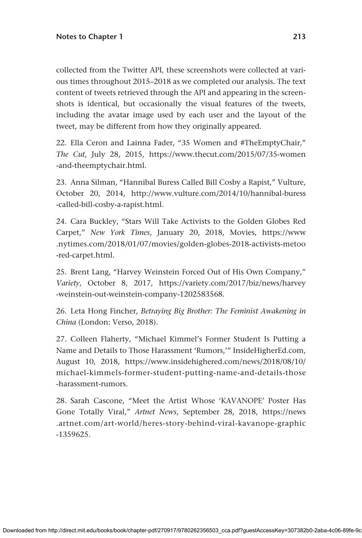collected from the Twitter API, these screenshots were collected at various times throughout 2015–2018 as we completed our analysis. The text content of tweets retrieved through the API and appearing in the screenshots is identical, but occasionally the visual features of the tweets, including the avatar image used by each user and the layout of the tweet, may be different from how they originally appeared.

22. Ella Ceron and Lainna Fader, "35 Women and #TheEmptyChair," *The Cut*, July 28, 2015, [https://www.thecut.com/2015/07/35-women](https://www.thecut.com/2015/07/35-women-and-theemptychair.html) [-and-theemptychair.html](https://www.thecut.com/2015/07/35-women-and-theemptychair.html).

23. Anna Silman, "Hannibal Buress Called Bill Cosby a Rapist," Vulture, October 20, 2014, [http://www.vulture.com/2014/10/hannibal-buress](http://www.vulture.com/2014/10/hannibal-buress-called-bill-cosby-a-rapist.html) [-called-bill-cosby-a-rapist.html](http://www.vulture.com/2014/10/hannibal-buress-called-bill-cosby-a-rapist.html).

24. Cara Buckley, "Stars Will Take Activists to the Golden Globes Red Carpet," *New York Times*, January 20, 2018, Movies, [https://www](https://www.nytimes.com/2018/01/07/movies/golden-globes-2018-activists-metoo-red-carpet.html) [.nytimes.com/2018/01/07/movies/golden-globes-2018-activists-metoo](https://www.nytimes.com/2018/01/07/movies/golden-globes-2018-activists-metoo-red-carpet.html) [-red-carpet.html](https://www.nytimes.com/2018/01/07/movies/golden-globes-2018-activists-metoo-red-carpet.html).

25. Brent Lang, "Harvey Weinstein Forced Out of His Own Company," *Variety*, October 8, 2017, [https://variety.com/2017/biz/news/harvey](https://variety.com/2017/biz/news/harvey-weinstein-out-weinstein-company-1202583568) [-weinstein-out-weinstein-company-1202583568.](https://variety.com/2017/biz/news/harvey-weinstein-out-weinstein-company-1202583568)

26. Leta Hong Fincher, *Betraying Big Brother: The Feminist Awakening in China* (London: Verso, 2018).

27. Colleen Flaherty, "Michael Kimmel's Former Student Is Putting a Name and Details to Those Harassment 'Rumors,'" [InsideHigherEd.com,](http://InsideHigherEd.com) August 10, 2018, [https://www.insidehighered.com/news/2018/08/10/](https://www.insidehighered.com/news/2018/08/10/michael-kimmels-former-student-putting-name-and-details-those-harassment-rumors) [michael-kimmels-former-student-putting-name-and-details-those](https://www.insidehighered.com/news/2018/08/10/michael-kimmels-former-student-putting-name-and-details-those-harassment-rumors) [-harassment-rumors](https://www.insidehighered.com/news/2018/08/10/michael-kimmels-former-student-putting-name-and-details-those-harassment-rumors).

28. Sarah Cascone, "Meet the Artist Whose 'KAVANOPE' Poster Has Gone Totally Viral," *Artnet News*, September 28, 2018, [https://news](https://news.artnet.com/art-world/heres-story-behind-viral-kavanope-graphic-1359625) [.artnet.com/art-world/heres-story-behind-viral-kavanope-graphic](https://news.artnet.com/art-world/heres-story-behind-viral-kavanope-graphic-1359625) [-1359625.](https://news.artnet.com/art-world/heres-story-behind-viral-kavanope-graphic-1359625)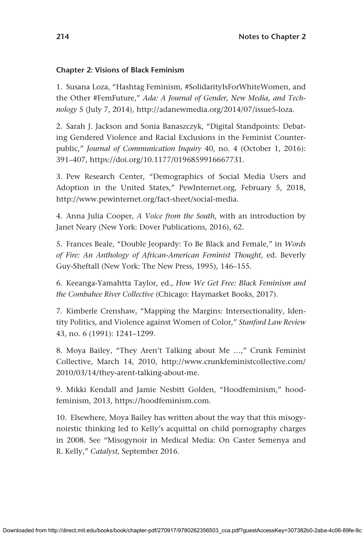### **Chapter 2: Visions of Black Feminism**

1. Susana Loza, "Hashtag Feminism, #SolidarityIsForWhiteWomen, and the Other #FemFuture," *Ada: A Journal of Gender, New Media, and Technology* 5 (July 7, 2014), [http://adanewmedia.org/2014/07/issue5-loza.](http://adanewmedia.org/2014/07/issue5-loza)

2. Sarah J. Jackson and Sonia Banaszczyk, "Digital Standpoints: Debating Gendered Violence and Racial Exclusions in the Feminist Counterpublic," *Journal of Communication Inquiry* 40, no. 4 (October 1, 2016): 391–407,<https://doi.org/10.1177/0196859916667731>.

3. Pew Research Center, "Demographics of Social Media Users and Adoption in the United States," [PewInternet.org,](http://PewInternet.org) February 5, 2018, <http://www.pewinternet.org/fact-sheet/social-media>.

4. Anna Julia Cooper, *A Voice from the South*, with an introduction by Janet Neary (New York: Dover Publications, 2016), 62.

5. Frances Beale, "Double Jeopardy: To Be Black and Female," in *Words of Fire: An Anthology of African-American Feminist Thought*, ed. Beverly Guy-Sheftall (New York: The New Press, 1995), 146–155.

6. Keeanga-Yamahtta Taylor, ed., *How We Get Free: Black Feminism and the Combahee River Collective* (Chicago: Haymarket Books, 2017).

7. Kimberle Crenshaw, "Mapping the Margins: Intersectionality, Identity Politics, and Violence against Women of Color," *Stanford Law Review* 43, no. 6 (1991): 1241–1299.

8. Moya Bailey, "They Aren't Talking about Me …," Crunk Feminist Collective, March 14, 2010, [http://www.crunkfeministcollective.com/](http://www.crunkfeministcollective.com/2010/03/14/they-arent-talking-about-me) [2010/03/14/they-arent-talking-about-me.](http://www.crunkfeministcollective.com/2010/03/14/they-arent-talking-about-me)

9. Mikki Kendall and Jamie Nesbitt Golden, "Hoodfeminism," hoodfeminism, 2013, <https://hoodfeminism.com>.

10. Elsewhere, Moya Bailey has written about the way that this misogynoirstic thinking led to Kelly's acquittal on child pornography charges in 2008. See "Misogynoir in Medical Media: On Caster Semenya and R. Kelly," *Catalyst,* September 2016.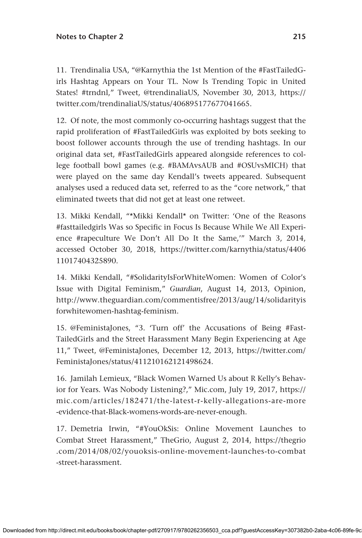11. Trendinalia USA, "@Karnythia the 1st Mention of the #FastTailedGirls Hashtag Appears on Your TL. Now Is Trending Topic in United States! #trndnl," Tweet, @trendinaliaUS, November 30, 2013, [https://](https://twitter.com/trendinaliaUS/status/406895177677041665) [twitter.com/trendinaliaUS/status/406895177677041665.](https://twitter.com/trendinaliaUS/status/406895177677041665)

12. Of note, the most commonly co-occurring hashtags suggest that the rapid proliferation of #FastTailedGirls was exploited by bots seeking to boost follower accounts through the use of trending hashtags. In our original data set, #FastTailedGirls appeared alongside references to college football bowl games (e.g. #BAMAvsAUB and #OSUvsMICH) that were played on the same day Kendall's tweets appeared. Subsequent analyses used a reduced data set, referred to as the "core network," that eliminated tweets that did not get at least one retweet.

13. Mikki Kendall, "\*Mikki Kendall\* on Twitter: 'One of the Reasons #fasttailedgirls Was so Specific in Focus Is Because While We All Experience #rapeculture We Don't All Do It the Same,'" March 3, 2014, accessed October 30, 2018, [https://twitter.com/karnythia/status/4406](https://twitter.com/karnythia/status/440611017404325890) [11017404325890](https://twitter.com/karnythia/status/440611017404325890).

14. Mikki Kendall, "#SolidarityIsForWhiteWomen: Women of Color's Issue with Digital Feminism," *Guardian*, August 14, 2013, Opinion, [http://www.theguardian.com/commentisfree/2013/aug/14/solidarityis](http://www.theguardian.com/commentisfree/2013/aug/14/solidarityisforwhitewomen-hashtag-feminism) [forwhitewomen-hashtag-feminism.](http://www.theguardian.com/commentisfree/2013/aug/14/solidarityisforwhitewomen-hashtag-feminism)

15. @FeministaJones, "3. 'Turn off' the Accusations of Being #Fast-TailedGirls and the Street Harassment Many Begin Experiencing at Age 11," Tweet, @FeministaJones, December 12, 2013, [https://twitter.com/](https://twitter.com/FeministaJones/status/411210162121498624) [FeministaJones/status/411210162121498624.](https://twitter.com/FeministaJones/status/411210162121498624)

16. Jamilah Lemieux, "Black Women Warned Us about R Kelly's Behavior for Years. Was Nobody Listening?," [Mic.com](http://Mic.com), July 19, 2017, [https://](https://mic.com/articles/182471/the-latest-r-kelly-allegations-are-more-evidence-that-Black-womens-words-are-never-enough) [mic.com/articles/182471/the-latest-r-kelly-allegations-are-more](https://mic.com/articles/182471/the-latest-r-kelly-allegations-are-more-evidence-that-Black-womens-words-are-never-enough) [-evidence-that-Black-womens-words-are-never-enough.](https://mic.com/articles/182471/the-latest-r-kelly-allegations-are-more-evidence-that-Black-womens-words-are-never-enough)

17. Demetria Irwin, "#YouOkSis: Online Movement Launches to Combat Street Harassment," TheGrio, August 2, 2014, [https://thegrio](https://thegrio.com/2014/08/02/youoksis-online-movement-launches-to-combat-street-harassment) [.com/2014/08/02/youoksis-online-movement-launches-to-combat](https://thegrio.com/2014/08/02/youoksis-online-movement-launches-to-combat-street-harassment) [-street-harassment.](https://thegrio.com/2014/08/02/youoksis-online-movement-launches-to-combat-street-harassment)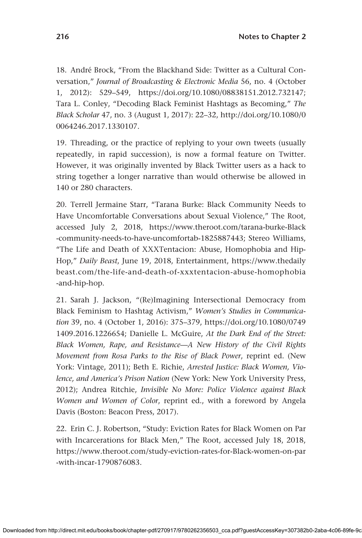18. André Brock, "From the Blackhand Side: Twitter as a Cultural Conversation," *Journal of Broadcasting & Electronic Media* 56, no. 4 (October 1, 2012): 529–549, [https://doi.org/10.1080/08838151.2012.732147;](https://doi.org/10.1080/08838151.2012.732147) Tara L. Conley, "Decoding Black Feminist Hashtags as Becoming," *The Black Scholar* 47, no. 3 (August 1, 2017): 22–32, [http://doi.org/10.1080/0](http://doi.org/10.1080/00064246.2017.1330107) [0064246.2017.1330107.](http://doi.org/10.1080/00064246.2017.1330107)

19. Threading, or the practice of replying to your own tweets (usually repeatedly, in rapid succession), is now a formal feature on Twitter. However, it was originally invented by Black Twitter users as a hack to string together a longer narrative than would otherwise be allowed in 140 or 280 characters.

20. Terrell Jermaine Starr, "Tarana Burke: Black Community Needs to Have Uncomfortable Conversations about Sexual Violence," The Root, accessed July 2, 2018, [https://www.theroot.com/tarana-burke-Black](https://www.theroot.com/tarana-burke-Black-community-needs-to-have-uncomfortab-1825887443) [-community-needs-to-have-uncomfortab-1825887443](https://www.theroot.com/tarana-burke-Black-community-needs-to-have-uncomfortab-1825887443); Stereo Williams, "The Life and Death of XXXTentacion: Abuse, Homophobia and Hip-Hop," *Daily Beast*, June 19, 2018, Entertainment, [https://www.thedaily](https://www.thedailybeast.com/the-life-and-death-of-xxxtentacion-abuse-homophobia-and-hip-hop) [beast.com/the-life-and-death-of-xxxtentacion-abuse-homophobia](https://www.thedailybeast.com/the-life-and-death-of-xxxtentacion-abuse-homophobia-and-hip-hop) [-and-hip-hop](https://www.thedailybeast.com/the-life-and-death-of-xxxtentacion-abuse-homophobia-and-hip-hop).

21. Sarah J. Jackson, "(Re)Imagining Intersectional Democracy from Black Feminism to Hashtag Activism," *Women's Studies in Communication* 39, no. 4 (October 1, 2016): 375–379, [https://doi.org/10.1080/0749](https://doi.org/10.1080/07491409.2016.1226654) [1409.2016.1226654](https://doi.org/10.1080/07491409.2016.1226654); Danielle L. McGuire, *At the Dark End of the Street: Black Women, Rape, and Resistance—A New History of the Civil Rights Movement from Rosa Parks to the Rise of Black Power*, reprint ed. (New York: Vintage, 2011); Beth E. Richie, *Arrested Justice: Black Women, Violence, and America's Prison Nation* (New York: New York University Press, 2012); Andrea Ritchie, *Invisible No More: Police Violence against Black Women and Women of Color*, reprint ed., with a foreword by Angela Davis (Boston: Beacon Press, 2017).

22. Erin C. J. Robertson, "Study: Eviction Rates for Black Women on Par with Incarcerations for Black Men," The Root, accessed July 18, 2018, [https://www.theroot.com/study-eviction-rates-for-Black-women-on-par](https://www.theroot.com/study-eviction-rates-for-Black-women-on-par-with-incar-1790876083) [-with-incar-1790876083](https://www.theroot.com/study-eviction-rates-for-Black-women-on-par-with-incar-1790876083).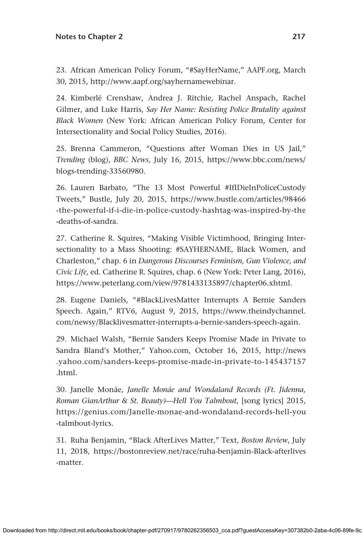23. African American Policy Forum, "#SayHerName," [AAPF.org,](http://AAPF.org) March 30, 2015, <http://www.aapf.org/sayhernamewebinar>.

24. Kimberlé Crenshaw, Andrea J. Ritchie, Rachel Anspach, Rachel Gilmer, and Luke Harris, *Say Her Name: Resisting Police Brutality against Black Women* (New York: African American Policy Forum, Center for Intersectionality and Social Policy Studies, 2016).

25. Brenna Cammeron, "Questions after Woman Dies in US Jail," *Trending* (blog), *BBC News*, July 16, 2015, [https://www.bbc.com/news/](https://www.bbc.com/news/blogs-trending-33560980) [blogs-trending-33560980](https://www.bbc.com/news/blogs-trending-33560980).

26. Lauren Barbato, "The 13 Most Powerful #IfIDieInPoliceCustody Tweets," Bustle, July 20, 2015, [https://www.bustle.com/articles/98466](https://www.bustle.com/articles/98466-the-powerful-if-i-die-in-police-custody-hashtag-was-inspired-by-the-deaths-of-sandra) [-the-powerful-if-i-die-in-police-custody-hashtag-was-inspired-by-the](https://www.bustle.com/articles/98466-the-powerful-if-i-die-in-police-custody-hashtag-was-inspired-by-the-deaths-of-sandra) [-deaths-of-sandra](https://www.bustle.com/articles/98466-the-powerful-if-i-die-in-police-custody-hashtag-was-inspired-by-the-deaths-of-sandra).

27. Catherine R. Squires, "Making Visible Victimhood, Bringing Intersectionality to a Mass Shooting: #SAYHERNAME, Black Women, and Charleston," chap. 6 in *[Dangerous Discourses](http://Dangerous Discourses) Feminism, Gun Violence, and Civic Life,* ed. Catherine R. Squires, chap. 6 (New York: Peter Lang, 2016), <https://www.peterlang.com/view/9781433135897/chapter06.xhtml>.

28. Eugene Daniels, "#BlackLivesMatter Interrupts A Bernie Sanders Speech. Again," RTV6, August 9, 2015, [https://www.theindychannel.](https://www.theindychannel.com/newsy/Blacklivesmatter-interrupts-a-bernie-sanders-speech-again) [com/newsy/Blacklivesmatter-interrupts-a-bernie-sanders-speech-again.](https://www.theindychannel.com/newsy/Blacklivesmatter-interrupts-a-bernie-sanders-speech-again)

29. Michael Walsh, "Bernie Sanders Keeps Promise Made in Private to Sandra Bland's Mother," [Yahoo.com,](http://Yahoo.com) October 16, 2015, [http://news](http://news.yahoo.com/sanders-keeps-promise-made-in-private-to-145437157.html) [.yahoo.com/sanders-keeps-promise-made-in-private-to-145437157](http://news.yahoo.com/sanders-keeps-promise-made-in-private-to-145437157.html) [.html](http://news.yahoo.com/sanders-keeps-promise-made-in-private-to-145437157.html).

30. Janelle Monáe, *Janelle Monáe and Wondaland Records (Ft. Jidenna, Roman GianArthur & St. Beauty)—Hell You Talmbout*, [song lyrics] 2015, [https://genius.com/Janelle-monae-and-wondaland-records-hell-you](https://genius.com/Janelle-monae-and-wondaland-records-hell-you-talmbout-lyrics) [-talmbout-lyrics](https://genius.com/Janelle-monae-and-wondaland-records-hell-you-talmbout-lyrics).

31. Ruha Benjamin, "Black AfterLives Matter," Text, *Boston Review*, July 11, 2018, [https://bostonreview.net/race/ruha-benjamin-Black-afterlives](https://bostonreview.net/race/ruha-benjamin-Black-afterlives-matter) [-matter](https://bostonreview.net/race/ruha-benjamin-Black-afterlives-matter).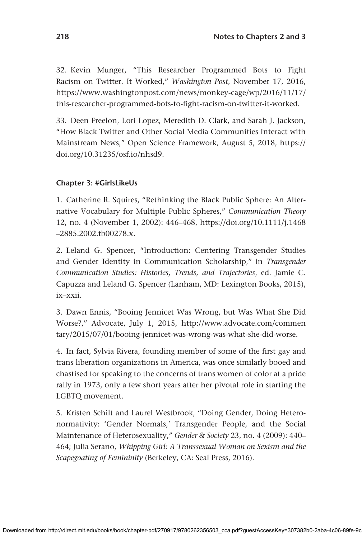32. Kevin Munger, "This Researcher Programmed Bots to Fight Racism on Twitter. It Worked," *Washington Post*, November 17, 2016, [https://www.washingtonpost.com/news/monkey-cage/wp/2016/11/17/](https://www.washingtonpost.com/news/monkey-cage/wp/2016/11/17/this-researcher-programmed-bots-to-fight-racism-on-twitter-it-worked) [this-researcher-programmed-bots-to-fight-racism-on-twitter-it-worked](https://www.washingtonpost.com/news/monkey-cage/wp/2016/11/17/this-researcher-programmed-bots-to-fight-racism-on-twitter-it-worked).

33. Deen Freelon, Lori Lopez, Meredith D. Clark, and Sarah J. Jackson, "How Black Twitter and Other Social Media Communities Interact with Mainstream News," Open Science Framework, August 5, 2018, [https://](https://doi.org/10.31235/osf.io/nhsd9) [doi.org/10.31235/osf.io/nhsd9](https://doi.org/10.31235/osf.io/nhsd9).

# **Chapter 3: #GirlsLikeUs**

1. Catherine R. Squires, "Rethinking the Black Public Sphere: An Alternative Vocabulary for Multiple Public Spheres," *Communication Theory* 12, no. 4 (November 1, 2002): 446–468, [https://doi.org/10.1111/j.1468](https://doi.org/10.1111/j.1468–2885.2002.tb00278.x) [–2885.2002.tb00278.x.](https://doi.org/10.1111/j.1468–2885.2002.tb00278.x)

2. Leland G. Spencer, "Introduction: Centering Transgender Studies and Gender Identity in Communication Scholarship," in *Transgender Communication Studies: Histories, Trends, and Trajectories*, ed. Jamie C. Capuzza and Leland G. Spencer (Lanham, MD: Lexington Books, 2015), ix–xxii.

3. Dawn Ennis, "Booing Jennicet Was Wrong, but Was What She Did Worse?," Advocate, July 1, 2015, [http://www.advocate.com/commen](http://www.advocate.com/commentary/2015/07/01/booing-jennicet-was-wrong-was-what-she-did-worse) [tary/2015/07/01/booing-jennicet-was-wrong-was-what-she-did-worse](http://www.advocate.com/commentary/2015/07/01/booing-jennicet-was-wrong-was-what-she-did-worse).

4. In fact, Sylvia Rivera, founding member of some of the first gay and trans liberation organizations in America, was once similarly booed and chastised for speaking to the concerns of trans women of color at a pride rally in 1973, only a few short years after her pivotal role in starting the LGBTQ movement.

5. Kristen Schilt and Laurel Westbrook, "Doing Gender, Doing Heteronormativity: 'Gender Normals,' Transgender People, and the Social Maintenance of Heterosexuality," *Gender & Society* 23, no. 4 (2009): 440– 464; Julia Serano, *Whipping Girl: A Transsexual Woman on Sexism and the Scapegoating of Femininity* (Berkeley, CA: Seal Press, 2016).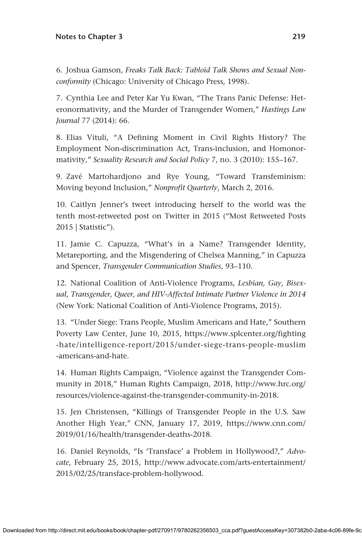6. Joshua Gamson, *Freaks Talk Back: Tabloid Talk Shows and Sexual Nonconformity* (Chicago: University of Chicago Press, 1998).

7. Cynthia Lee and Peter Kar Yu Kwan, "The Trans Panic Defense: Heteronormativity, and the Murder of Transgender Women," *Hastings Law Journal* 77 (2014): 66.

8. Elias Vituli, "A Defining Moment in Civil Rights History? The Employment Non-discrimination Act, Trans-inclusion, and Homonormativity," *Sexuality Research and Social Policy* 7, no. 3 (2010): 155–167.

9. Zavé Martohardjono and Rye Young, "Toward Transfeminism: Moving beyond Inclusion," *Nonprofit Quarterly*, March 2, 2016.

10. Caitlyn Jenner's tweet introducing herself to the world was the tenth most-retweeted post on Twitter in 2015 ("Most Retweeted Posts 2015 | Statistic").

11. Jamie C. Capuzza, "What's in a Name? Transgender Identity, Metareporting, and the Misgendering of Chelsea Manning," in Capuzza and Spencer, *Transgender Communication Studies*, 93–110.

12. National Coalition of Anti-Violence Programs, *Lesbian, Gay, Bisexual, Transgender, Queer, and HIV-Affected Intimate Partner Violence in 2014* (New York: National Coalition of Anti-Violence Programs, 2015).

13. "Under Siege: Trans People, Muslim Americans and Hate," Southern Poverty Law Center, June 10, 2015, [https://www.splcenter.org/fighting](https://www.splcenter.org/fighting-hate/intelligence-report/2015/under-siege-trans-people-muslim-americans-and-hate) [-hate/intelligence-report/2015/under-siege-trans-people-muslim](https://www.splcenter.org/fighting-hate/intelligence-report/2015/under-siege-trans-people-muslim-americans-and-hate) [-americans-and-hate.](https://www.splcenter.org/fighting-hate/intelligence-report/2015/under-siege-trans-people-muslim-americans-and-hate)

14. Human Rights Campaign, "Violence against the Transgender Community in 2018," Human Rights Campaign, 2018, [http://www.hrc.org/](http://www.hrc.org/resources/violence-against-the-transgender-community-in-2018) [resources/violence-against-the-transgender-community-in-2018.](http://www.hrc.org/resources/violence-against-the-transgender-community-in-2018)

15. Jen Christensen, "Killings of Transgender People in the U.S. Saw Another High Year," CNN, January 17, 2019, [https://www.cnn.com/](https://www.cnn.com/2019/01/16/health/transgender-deaths-2018) [2019/01/16/health/transgender-deaths-2018.](https://www.cnn.com/2019/01/16/health/transgender-deaths-2018)

16. Daniel Reynolds, "Is 'Transface' a Problem in Hollywood?," *Advocate*, February 25, 2015, [http://www.advocate.com/arts-entertainment/](http://www.advocate.com/arts-entertainment/2015/02/25/transface-problem-hollywood) [2015/02/25/transface-problem-hollywood.](http://www.advocate.com/arts-entertainment/2015/02/25/transface-problem-hollywood)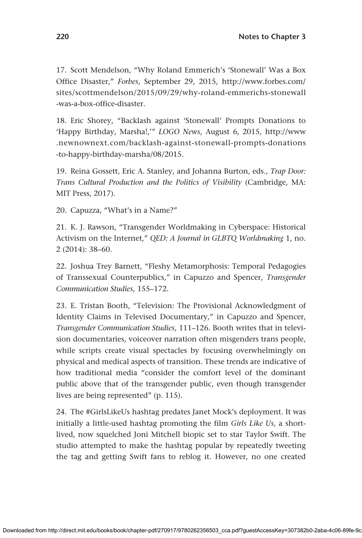17. Scott Mendelson, "Why Roland Emmerich's 'Stonewall' Was a Box Office Disaster," *Forbes*, September 29, 2015, [http://www.forbes.com/](http://www.forbes.com/sites/scottmendelson/2015/09/29/why-roland-emmerichs-stonewall-was-a-box-office-disaster) [sites/scottmendelson/2015/09/29/why-roland-emmerichs-stonewall](http://www.forbes.com/sites/scottmendelson/2015/09/29/why-roland-emmerichs-stonewall-was-a-box-office-disaster) [-was-a-box-office-disaster](http://www.forbes.com/sites/scottmendelson/2015/09/29/why-roland-emmerichs-stonewall-was-a-box-office-disaster).

18. Eric Shorey, "Backlash against 'Stonewall' Prompts Donations to 'Happy Birthday, Marsha!,'" *LOGO News*, August 6, 2015, [http://www](http://www.newnownext.com/backlash-against-stonewall-prompts-donations-to-happy-birthday-marsha/08/2015) [.newnownext.com/backlash-against-stonewall-prompts-donations](http://www.newnownext.com/backlash-against-stonewall-prompts-donations-to-happy-birthday-marsha/08/2015) [-to-happy-birthday-marsha/08/2015](http://www.newnownext.com/backlash-against-stonewall-prompts-donations-to-happy-birthday-marsha/08/2015).

19. Reina Gossett, Eric A. Stanley, and Johanna Burton, eds., *Trap Door: Trans Cultural Production and the Politics of Visibility* (Cambridge, MA: MIT Press, 2017).

20. Capuzza, "What's in a Name?"

21. K. J. Rawson, "Transgender Worldmaking in Cyberspace: Historical Activism on the Internet," *QED: A Journal in GLBTQ Worldmaking* 1, no. 2 (2014): 38–60.

22. Joshua Trey Barnett, "Fleshy Metamorphosis: Temporal Pedagogies of Transsexual Counterpublics," in Capuzzo and Spencer, *Transgender Communication Studies*, 155–172.

23. E. Tristan Booth, "Television: The Provisional Acknowledgment of Identity Claims in Televised Documentary," in Capuzzo and Spencer, *Transgender Communication Studies*, 111–126. Booth writes that in television documentaries, voiceover narration often misgenders trans people, while scripts create visual spectacles by focusing overwhelmingly on physical and medical aspects of transition. These trends are indicative of how traditional media "consider the comfort level of the dominant public above that of the transgender public, even though transgender lives are being represented" (p. 115).

24. The #GirlsLikeUs hashtag predates Janet Mock's deployment. It was initially a little-used hashtag promoting the film *Girls Like Us*, a shortlived, now squelched Joni Mitchell biopic set to star Taylor Swift. The studio attempted to make the hashtag popular by repeatedly tweeting the tag and getting Swift fans to reblog it. However, no one created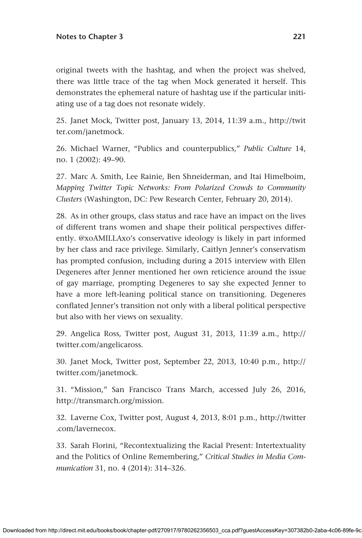original tweets with the hashtag, and when the project was shelved, there was little trace of the tag when Mock generated it herself. This demonstrates the ephemeral nature of hashtag use if the particular initiating use of a tag does not resonate widely.

25. Janet Mock, Twitter post, January 13, 2014, 11:39 a.m., [http://twit](http://twitter.com/janetmock) [ter.com/janetmock.](http://twitter.com/janetmock)

26. Michael Warner, "Publics and counterpublics," *Public Culture* 14, no. 1 (2002): 49–90.

27. Marc A. Smith, Lee Rainie, Ben Shneiderman, and Itai Himelboim, *Mapping Twitter Topic Networks: From Polarized Crowds to Community Clusters* (Washington, DC: Pew Research Center, February 20, 2014).

28. As in other groups, class status and race have an impact on the lives of different trans women and shape their political perspectives differently. @xoAMILLAxo's conservative ideology is likely in part informed by her class and race privilege. Similarly, Caitlyn Jenner's conservatism has prompted confusion, including during a 2015 interview with Ellen Degeneres after Jenner mentioned her own reticience around the issue of gay marriage, prompting Degeneres to say she expected Jenner to have a more left-leaning political stance on transitioning. Degeneres conflated Jenner's transition not only with a liberal political perspective but also with her views on sexuality.

29. Angelica Ross, Twitter post, August 31, 2013, 11:39 a.m., [http://](http://twitter.com/angelicaross) [twitter.com/angelicaross.](http://twitter.com/angelicaross)

30. Janet Mock, Twitter post, September 22, 2013, 10:40 p.m., [http://](http://twitter.com/janetmock) [twitter.com/janetmock](http://twitter.com/janetmock).

31. "Mission," San Francisco Trans March, accessed July 26, 2016, <http://transmarch.org/mission>.

32. Laverne Cox, Twitter post, August 4, 2013, 8:01 p.m., [http://twitter](http://twitter.com/lavernecox) [.com/lavernecox.](http://twitter.com/lavernecox)

33. Sarah Florini, "Recontextualizing the Racial Present: Intertextuality and the Politics of Online Remembering," *Critical Studies in Media Communication* 31, no. 4 (2014): 314–326.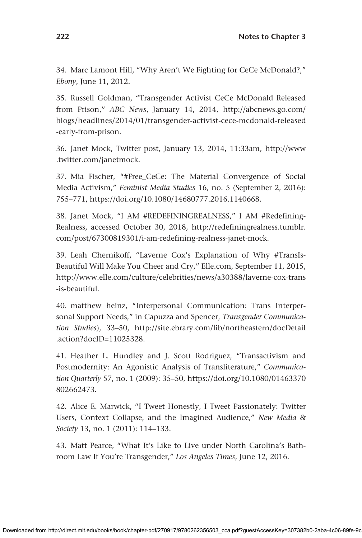34. Marc Lamont Hill, "Why Aren't We Fighting for CeCe McDonald?," *Ebony*, June 11, 2012.

35. Russell Goldman, "Transgender Activist CeCe McDonald Released from Prison," *ABC News*, January 14, 2014, [http://abcnews.go.com/](http://abcnews.go.com/blogs/headlines/2014/01/transgender-activist-cece-mcdonald-released-early-from-prison) [blogs/headlines/2014/01/transgender-activist-cece-mcdonald-released](http://abcnews.go.com/blogs/headlines/2014/01/transgender-activist-cece-mcdonald-released-early-from-prison) [-early-from-prison.](http://abcnews.go.com/blogs/headlines/2014/01/transgender-activist-cece-mcdonald-released-early-from-prison)

36. Janet Mock, Twitter post, January 13, 2014, 11:33am, [http://www](http://www.twitter.com/janetmock) [.twitter.com/janetmock.](http://www.twitter.com/janetmock)

37. Mia Fischer, "#Free\_CeCe: The Material Convergence of Social Media Activism," *Feminist Media Studies* 16, no. 5 (September 2, 2016): 755–771,<https://doi.org/10.1080/14680777.2016.1140668>.

38. Janet Mock, "I AM #REDEFININGREALNESS," I AM #Redefining-Realness, accessed October 30, 2018, [http://redefiningrealness.tumblr.](http://redefiningrealness.tumblr.com/post/67300819301/i-am-redefining-realness-janet-mock) [com/post/67300819301/i-am-redefining-realness-janet-mock](http://redefiningrealness.tumblr.com/post/67300819301/i-am-redefining-realness-janet-mock).

39. Leah Chernikoff, "Laverne Cox's Explanation of Why #TransIs-Beautiful Will Make You Cheer and Cry," [Elle.com](http://Elle.com), September 11, 2015, [http://www.elle.com/culture/celebrities/news/a30388/laverne-cox-trans](http://www.elle.com/culture/celebrities/news/a30388/laverne-cox-trans-is-beautiful) [-is-beautiful](http://www.elle.com/culture/celebrities/news/a30388/laverne-cox-trans-is-beautiful).

40. matthew heinz, "Interpersonal Communication: Trans Interpersonal Support Needs," in Capuzza and Spencer, *Transgender Communication Studies*), 33–50, [http://site.ebrary.com/lib/northeastern/docDetail](http://site.ebrary.com/lib/northeastern/docDetail.action?docID=11025328) [.action?docID=11025328.](http://site.ebrary.com/lib/northeastern/docDetail.action?docID=11025328)

41. Heather L. Hundley and J. Scott Rodriguez, "Transactivism and Postmodernity: An Agonistic Analysis of Transliterature," *Communication Quarterly* 57, no. 1 (2009): 35–50, [https://doi.org/10.1080/01463370](https://doi.org/10.1080/01463370802662473) [802662473](https://doi.org/10.1080/01463370802662473).

42. Alice E. Marwick, "I Tweet Honestly, I Tweet Passionately: Twitter Users, Context Collapse, and the Imagined Audience," *New Media & Society* 13, no. 1 (2011): 114–133.

43. Matt Pearce, "What It's Like to Live under North Carolina's Bathroom Law If You're Transgender," *Los Angeles Times*, June 12, 2016.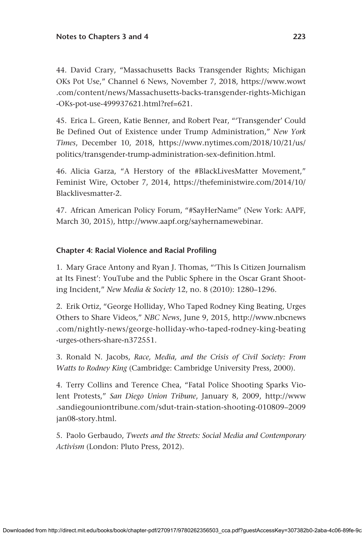44. David Crary, "Massachusetts Backs Transgender Rights; Michigan OKs Pot Use," Channel 6 News, November 7, 2018, [https://www.wowt](https://www.wowt.com/content/news/Massachusetts-backs-transgender-rights-Michigan-OKs-pot-use-499937621.html?ref=621) [.com/content/news/Massachusetts-backs-transgender-rights-Michigan](https://www.wowt.com/content/news/Massachusetts-backs-transgender-rights-Michigan-OKs-pot-use-499937621.html?ref=621) [-OKs-pot-use-499937621.html?ref=621.](https://www.wowt.com/content/news/Massachusetts-backs-transgender-rights-Michigan-OKs-pot-use-499937621.html?ref=621)

45. Erica L. Green, Katie Benner, and Robert Pear, "'Transgender' Could Be Defined Out of Existence under Trump Administration," *New York Times*, December 10, 2018, [https://www.nytimes.com/2018/10/21/us/](https://www.nytimes.com/2018/10/21/us/politics/transgender-trump-administration-sex-definition.html) [politics/transgender-trump-administration-sex-definition.html](https://www.nytimes.com/2018/10/21/us/politics/transgender-trump-administration-sex-definition.html).

46. Alicia Garza, "A Herstory of the #BlackLivesMatter Movement," Feminist Wire, October 7, 2014, [https://thefeministwire.com/2014/10/](https://thefeministwire.com/2014/10/Blacklivesmatter-2) [Blacklivesmatter-2.](https://thefeministwire.com/2014/10/Blacklivesmatter-2)

47. African American Policy Forum, "#SayHerName" (New York: AAPF, March 30, 2015), <http://www.aapf.org/sayhernamewebinar>.

# **Chapter 4: Racial Violence and Racial Profiling**

1. Mary Grace Antony and Ryan J. Thomas, "'This Is Citizen Journalism at Its Finest': YouTube and the Public Sphere in the Oscar Grant Shooting Incident," *New Media & Society* 12, no. 8 (2010): 1280–1296.

2. Erik Ortiz, "George Holliday, Who Taped Rodney King Beating, Urges Others to Share Videos," *NBC News*, June 9, 2015, [http://www.nbcnews](http://www.nbcnews.com/nightly-news/george-holliday-who-taped-rodney-king-beating-urges-others-share-n372551) [.com/nightly-news/george-holliday-who-taped-rodney-king-beating](http://www.nbcnews.com/nightly-news/george-holliday-who-taped-rodney-king-beating-urges-others-share-n372551) [-urges-others-share-n372551](http://www.nbcnews.com/nightly-news/george-holliday-who-taped-rodney-king-beating-urges-others-share-n372551).

3. Ronald N. Jacobs, *Race, Media, and the Crisis of Civil Society: From Watts to Rodney King* (Cambridge: Cambridge University Press, 2000).

4. Terry Collins and Terence Chea, "Fatal Police Shooting Sparks Violent Protests," *San Diego Union Tribune*, January 8, 2009, [http://www](http://www.sandiegouniontribune.com/sdut-train-station-shooting-010809–2009jan08-story.html) [.sandiegouniontribune.com/sdut-train-station-shooting-010809–2009](http://www.sandiegouniontribune.com/sdut-train-station-shooting-010809–2009jan08-story.html) [jan08-story.html](http://www.sandiegouniontribune.com/sdut-train-station-shooting-010809–2009jan08-story.html).

5. Paolo Gerbaudo, *Tweets and the Streets: Social Media and Contemporary Activism* (London: Pluto Press, 2012).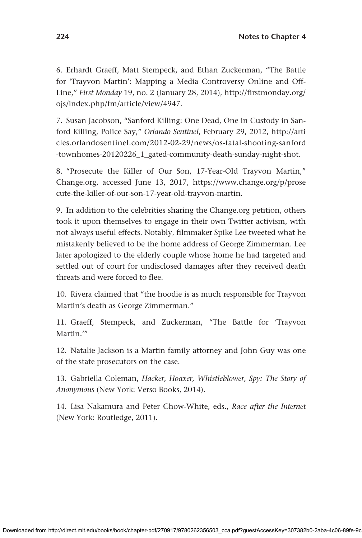6. Erhardt Graeff, Matt Stempeck, and Ethan Zuckerman, "The Battle for 'Trayvon Martin': Mapping a Media Controversy Online and Off-Line," *First Monday* 19, no. 2 (January 28, 2014), [http://firstmonday.org/](http://firstmonday.org/ojs/index.php/fm/article/view/4947) [ojs/index.php/fm/article/view/4947.](http://firstmonday.org/ojs/index.php/fm/article/view/4947)

7. Susan Jacobson, "Sanford Killing: One Dead, One in Custody in Sanford Killing, Police Say," *Orlando Sentinel*, February 29, 2012, [http://arti](http://articles.orlandosentinel.com/2012-02-29/news/os-fatal-shooting-sanford-townhomes-20120226_1_gated-community-death-sunday-night-shot) [cles.orlandosentinel.com/2012-02-29/news/os-fatal-shooting-sanford](http://articles.orlandosentinel.com/2012-02-29/news/os-fatal-shooting-sanford-townhomes-20120226_1_gated-community-death-sunday-night-shot) [-townhomes-20120226\\_1\\_gated-community-death-sunday-night-shot](http://articles.orlandosentinel.com/2012-02-29/news/os-fatal-shooting-sanford-townhomes-20120226_1_gated-community-death-sunday-night-shot).

8. "Prosecute the Killer of Our Son, 17-Year-Old Trayvon Martin," [Change.org](http://Change.org), accessed June 13, 2017, [https://www.change.org/p/prose](https://www.change.org/p/prosecute-the-killer-of-our-son-17-year-old-trayvon-martin) [cute-the-killer-of-our-son-17-year-old-trayvon-martin](https://www.change.org/p/prosecute-the-killer-of-our-son-17-year-old-trayvon-martin).

9. In addition to the celebrities sharing the [Change.org](http://Change.org) petition, others took it upon themselves to engage in their own Twitter activism, with not always useful effects. Notably, filmmaker Spike Lee tweeted what he mistakenly believed to be the home address of George Zimmerman. Lee later apologized to the elderly couple whose home he had targeted and settled out of court for undisclosed damages after they received death threats and were forced to flee.

10. Rivera claimed that "the hoodie is as much responsible for Trayvon Martin's death as George Zimmerman."

11. Graeff, Stempeck, and Zuckerman, "The Battle for 'Trayvon Martin.'"

12. Natalie Jackson is a Martin family attorney and John Guy was one of the state prosecutors on the case.

13. Gabriella Coleman, *Hacker, Hoaxer, Whistleblower, Spy: The Story of Anonymous* (New York: Verso Books, 2014).

14. Lisa Nakamura and Peter Chow-White, eds., *Race after the Internet* (New York: Routledge, 2011).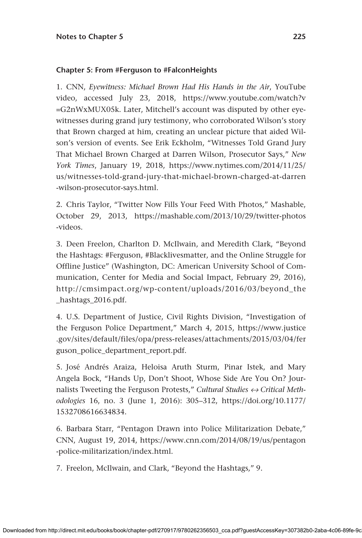#### **Chapter 5: From #Ferguson to #FalconHeights**

1. CNN, *Eyewitness: Michael Brown Had His Hands in the Air*, YouTube video, accessed July 23, 2018, [https://www.youtube.com/watch?v](https://www.youtube.com/watch?v=G2nWxMUX05k) [=G2nWxMUX05k](https://www.youtube.com/watch?v=G2nWxMUX05k). Later, Mitchell's account was disputed by other eyewitnesses during grand jury testimony, who corroborated Wilson's story that Brown charged at him, creating an unclear picture that aided Wilson's version of events. See Erik Eckholm, "Witnesses Told Grand Jury That Michael Brown Charged at Darren Wilson, Prosecutor Says," *New York Times*, January 19, 2018, [https://www.nytimes.com/2014/11/25/](https://www.nytimes.com/2014/11/25/us/witnesses-told-grand-jury-that-michael-brown-charged-at-darren-wilson-prosecutor-says.html) [us/witnesses-told-grand-jury-that-michael-brown-charged-at-darren](https://www.nytimes.com/2014/11/25/us/witnesses-told-grand-jury-that-michael-brown-charged-at-darren-wilson-prosecutor-says.html) [-wilson-prosecutor-says.html](https://www.nytimes.com/2014/11/25/us/witnesses-told-grand-jury-that-michael-brown-charged-at-darren-wilson-prosecutor-says.html).

2. Chris Taylor, "Twitter Now Fills Your Feed With Photos," Mashable, October 29, 2013, [https://mashable.com/2013/10/29/twitter-photos](https://mashable.com/2013/10/29/twitter-photos-videos) [-videos](https://mashable.com/2013/10/29/twitter-photos-videos).

3. Deen Freelon, Charlton D. McIlwain, and Meredith Clark, "Beyond the Hashtags: #Ferguson, #Blacklivesmatter, and the Online Struggle for Offline Justice" (Washington, DC: American University School of Communication, Center for Media and Social Impact, February 29, 2016), [http://cmsimpact.org/wp-content/uploads/2016/03/beyond\\_the](http:// http://cmsimpact.org/wp-content/uploads/2016/03/beyond_the_hashtags_2016.pdf.) [\\_hashtags\\_2016.pdf.](http:// http://cmsimpact.org/wp-content/uploads/2016/03/beyond_the_hashtags_2016.pdf.)

4. U.S. Department of Justice, Civil Rights Division, "Investigation of the Ferguson Police Department," March 4, 2015, [https://www.justice](https://www.justice.gov/sites/default/files/opa/press-releases/attachments/2015/03/04/ferguson_police_department_report.pdf) [.gov/sites/default/files/opa/press-releases/attachments/2015/03/04/fer](https://www.justice.gov/sites/default/files/opa/press-releases/attachments/2015/03/04/ferguson_police_department_report.pdf) [guson\\_police\\_department\\_report.pdf](https://www.justice.gov/sites/default/files/opa/press-releases/attachments/2015/03/04/ferguson_police_department_report.pdf).

5. José Andrés Araiza, Heloisa Aruth Sturm, Pinar Istek, and Mary Angela Bock, "Hands Up, Don't Shoot, Whose Side Are You On? Journalists Tweeting the Ferguson Protests," *Cultural Studies ↔ Critical Methodologies* 16, no. 3 (June 1, 2016): 305–312, [https://doi.org/10.1177/](https://doi.org/10.1177/1532708616634834) [1532708616634834](https://doi.org/10.1177/1532708616634834).

6. Barbara Starr, "Pentagon Drawn into Police Militarization Debate," CNN, August 19, 2014, [https://www.cnn.com/2014/08/19/us/pentagon](https://www.cnn.com/2014/08/19/us/pentagon-police-militarization/index.html) [-police-militarization/index.html.](https://www.cnn.com/2014/08/19/us/pentagon-police-militarization/index.html)

7. Freelon, McIlwain, and Clark, "Beyond the Hashtags," 9.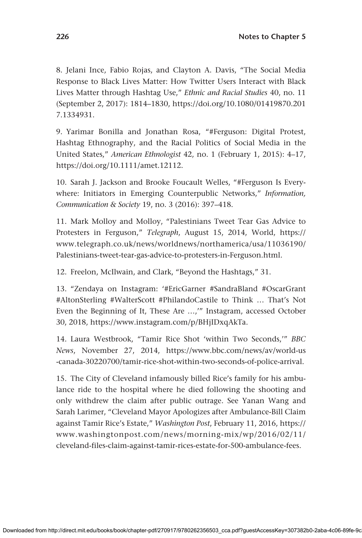8. Jelani Ince, Fabio Rojas, and Clayton A. Davis, "The Social Media Response to Black Lives Matter: How Twitter Users Interact with Black Lives Matter through Hashtag Use," *Ethnic and Racial Studies* 40, no. 11 (September 2, 2017): 1814–1830, [https://doi.org/10.1080/01419870.201](https://doi.org/10.1080/01419870.2017.1334931) [7.1334931.](https://doi.org/10.1080/01419870.2017.1334931)

9. Yarimar Bonilla and Jonathan Rosa, "#Ferguson: Digital Protest, Hashtag Ethnography, and the Racial Politics of Social Media in the United States," *American Ethnologist* 42, no. 1 (February 1, 2015): 4–17, [https://doi.org/10.1111/amet.12112.](https://doi.org/10.1111/amet.12112)

10. Sarah J. Jackson and Brooke Foucault Welles, "#Ferguson Is Everywhere: Initiators in Emerging Counterpublic Networks," *Information, Communication & Society* 19, no. 3 (2016): 397–418.

11. Mark Molloy and Molloy, "Palestinians Tweet Tear Gas Advice to Protesters in Ferguson," *Telegraph*, August 15, 2014, World, [https://](https://www.telegraph.co.uk/news/worldnews/northamerica/usa/11036190/Palestinians-tweet-tear-gas-advice-to-protesters-in-Ferguson.html) [www.telegraph.co.uk/news/worldnews/northamerica/usa/11036190/](https://www.telegraph.co.uk/news/worldnews/northamerica/usa/11036190/Palestinians-tweet-tear-gas-advice-to-protesters-in-Ferguson.html) [Palestinians-tweet-tear-gas-advice-to-protesters-in-Ferguson.html.](https://www.telegraph.co.uk/news/worldnews/northamerica/usa/11036190/Palestinians-tweet-tear-gas-advice-to-protesters-in-Ferguson.html)

12. Freelon, McIlwain, and Clark, "Beyond the Hashtags," 31.

13. "Zendaya on Instagram: '#EricGarner #SandraBland #OscarGrant #AltonSterling #WalterScott #PhilandoCastile to Think … That's Not Even the Beginning of It, These Are …,'" Instagram, accessed October 30, 2018, [https://www.instagram.com/p/BHjIDxqAkTa.](https://www.instagram.com/p/BHjIDxqAkTa)

14. Laura Westbrook, "Tamir Rice Shot 'within Two Seconds,'" *BBC News*, November 27, 2014, [https://www.bbc.com/news/av/world-us](https://www.bbc.com/news/av/world-us-canada-30220700/tamir-rice-shot-within-two-seconds-of-police-arrival) [-canada-30220700/tamir-rice-shot-within-two-seconds-of-police-arrival](https://www.bbc.com/news/av/world-us-canada-30220700/tamir-rice-shot-within-two-seconds-of-police-arrival).

15. The City of Cleveland infamously billed Rice's family for his ambulance ride to the hospital where he died following the shooting and only withdrew the claim after public outrage. See Yanan Wang and Sarah Larimer, "Cleveland Mayor Apologizes after Ambulance-Bill Claim against Tamir Rice's Estate," *Washington Post*, February 11, 2016, [https://](https://www.washingtonpost.com/news/morning-mix/wp/2016/02/11/cleveland-files-claim-against-tamir-rices-estate-for-500-ambulance-fees) [www.washingtonpost.com/news/morning-mix/wp/2016/02/11/](https://www.washingtonpost.com/news/morning-mix/wp/2016/02/11/cleveland-files-claim-against-tamir-rices-estate-for-500-ambulance-fees) [cleveland-files-claim-against-tamir-rices-estate-for-500-ambulance-fees.](https://www.washingtonpost.com/news/morning-mix/wp/2016/02/11/cleveland-files-claim-against-tamir-rices-estate-for-500-ambulance-fees)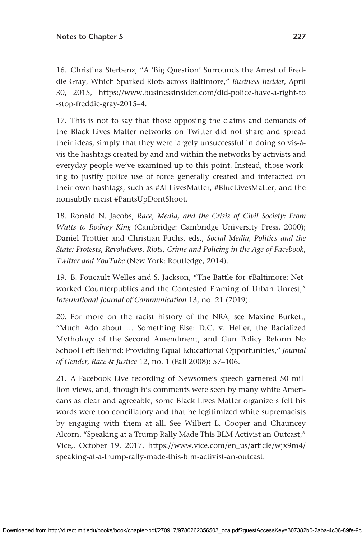16. Christina Sterbenz, "A 'Big Question' Surrounds the Arrest of Freddie Gray, Which Sparked Riots across Baltimore," *Business Insider*, April 30, 2015, [https://www.businessinsider.com/did-police-have-a-right-to](https://www.businessinsider.com/did-police-have-a-right-to-stop-freddie-gray-2015–4) [-stop-freddie-gray-2015–4.](https://www.businessinsider.com/did-police-have-a-right-to-stop-freddie-gray-2015–4)

17. This is not to say that those opposing the claims and demands of the Black Lives Matter networks on Twitter did not share and spread their ideas, simply that they were largely unsuccessful in doing so vis-àvis the hashtags created by and and within the networks by activists and everyday people we've examined up to this point. Instead, those working to justify police use of force generally created and interacted on their own hashtags, such as #AllLivesMatter, #BlueLivesMatter, and the nonsubtly racist #PantsUpDontShoot.

18. Ronald N. Jacobs, *Race, Media, and the Crisis of Civil Society: From Watts to Rodney King* (Cambridge: Cambridge University Press, 2000); Daniel Trottier and Christian Fuchs, eds., *Social Media, Politics and the State: Protests, Revolutions, Riots, Crime and Policing in the Age of Facebook, Twitter and YouTube* (New York: Routledge, 2014).

19. B. Foucault Welles and S. Jackson, "The Battle for #Baltimore: Networked Counterpublics and the Contested Framing of Urban Unrest," *International Journal of Communication* 13, no. 21 (2019).

20. For more on the racist history of the NRA, see Maxine Burkett, "Much Ado about … Something Else: D.C. v. Heller, the Racialized Mythology of the Second Amendment, and Gun Policy Reform No School Left Behind: Providing Equal Educational Opportunities," *Journal of Gender, Race & Justice* 12, no. 1 (Fall 2008): 57–106.

21. A Facebook Live recording of Newsome's speech garnered 50 million views, and, though his comments were seen by many white Americans as clear and agreeable, some Black Lives Matter organizers felt his words were too conciliatory and that he legitimized white supremacists by engaging with them at all. See Wilbert L. Cooper and Chauncey Alcorn, "Speaking at a Trump Rally Made This BLM Activist an Outcast," Vice,, October 19, 2017, [https://www.vice.com/en\\_us/article/wjx9m4/](https://www.vice.com/en_us/article/wjx9m4/speaking-at-a-trump-rally-made-this-blm-activist-an-outcast) [speaking-at-a-trump-rally-made-this-blm-activist-an-outcast](https://www.vice.com/en_us/article/wjx9m4/speaking-at-a-trump-rally-made-this-blm-activist-an-outcast).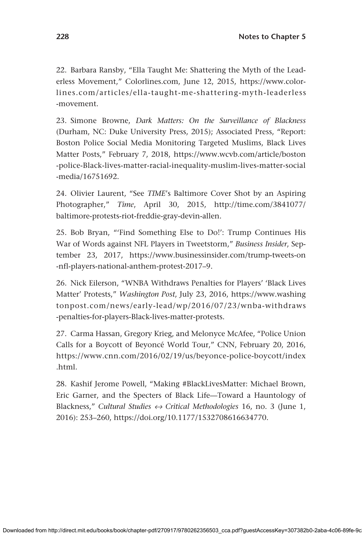22. Barbara Ransby, "Ella Taught Me: Shattering the Myth of the Leaderless Movement," [Colorlines.com,](http://Colorlines.com) June 12, 2015, [https://www.color](https://www.colorlines.com/articles/ella-taught-me-shattering-myth-leaderless-movement)[lines.com/articles/ella-taught-me-shattering-myth-leaderless](https://www.colorlines.com/articles/ella-taught-me-shattering-myth-leaderless-movement) [-movement.](https://www.colorlines.com/articles/ella-taught-me-shattering-myth-leaderless-movement)

23. Simone Browne, *Dark Matters: On the Surveillance of Blackness* (Durham, NC: Duke University Press, 2015); Associated Press, "Report: Boston Police Social Media Monitoring Targeted Muslims, Black Lives Matter Posts," February 7, 2018, [https://www.wcvb.com/article/boston](https://www.wcvb.com/article/boston-police-Black-lives-matter-racial-inequality-muslim-lives-matter-social-media/16751692) [-police-Black-lives-matter-racial-inequality-muslim-lives-matter-social](https://www.wcvb.com/article/boston-police-Black-lives-matter-racial-inequality-muslim-lives-matter-social-media/16751692) [-media/16751692](https://www.wcvb.com/article/boston-police-Black-lives-matter-racial-inequality-muslim-lives-matter-social-media/16751692).

24. Olivier Laurent, "See *TIME*'s Baltimore Cover Shot by an Aspiring Photographer," *Time*, April 30, 2015, [http://time.com/3841077/](http://time.com/3841077/baltimore-protests-riot-freddie-gray-devin-allen) [baltimore-protests-riot-freddie-gray-devin-allen.](http://time.com/3841077/baltimore-protests-riot-freddie-gray-devin-allen)

25. Bob Bryan, "'Find Something Else to Do!': Trump Continues His War of Words against NFL Players in Tweetstorm," *Business Insider*, September 23, 2017, [https://www.businessinsider.com/trump-tweets-on](https://www.businessinsider.com/trump-tweets-on-nfl-players-national-anthem-protest-2017–9) [-nfl-players-national-anthem-protest-2017–9](https://www.businessinsider.com/trump-tweets-on-nfl-players-national-anthem-protest-2017–9).

26. Nick Eilerson, "WNBA Withdraws Penalties for Players' 'Black Lives Matter' Protests," *Washington Post*, July 23, 2016, [https://www.washing](https://www.washingtonpost.com/news/early-lead/wp/2016/07/23/wnba-withdraws-penalties-for-players-Black-lives-matter-protests) [tonpost.com/news/early-lead/wp/2016/07/23/wnba-withdraws](https://www.washingtonpost.com/news/early-lead/wp/2016/07/23/wnba-withdraws-penalties-for-players-Black-lives-matter-protests) [-penalties-for-players-Black-lives-matter-protests.](https://www.washingtonpost.com/news/early-lead/wp/2016/07/23/wnba-withdraws-penalties-for-players-Black-lives-matter-protests)

27. Carma Hassan, Gregory Krieg, and Melonyce McAfee, "Police Union Calls for a Boycott of Beyoncé World Tour," CNN, February 20, 2016, [https://www.cnn.com/2016/02/19/us/beyonce-police-boycott/index](https://www.cnn.com/2016/02/19/us/beyonce-police-boycott/index.html) [.html](https://www.cnn.com/2016/02/19/us/beyonce-police-boycott/index.html).

28. Kashif Jerome Powell, "Making #BlackLivesMatter: Michael Brown, Eric Garner, and the Specters of Black Life—Toward a Hauntology of Blackness," *Cultural Studies ↔ Critical Methodologies* 16, no. 3 (June 1, 2016): 253–260, [https://doi.org/10.1177/1532708616634770.](https://doi.org/10.1177/1532708616634770)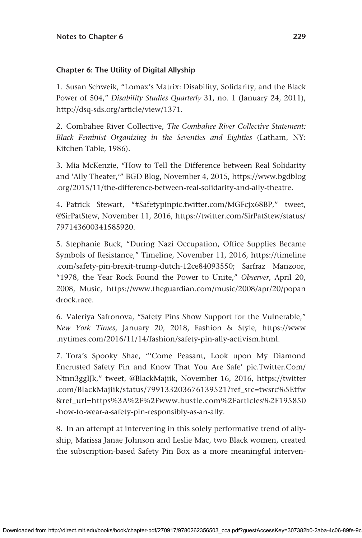# **Chapter 6: The Utility of Digital Allyship**

1. Susan Schweik, "Lomax's Matrix: Disability, Solidarity, and the Black Power of 504," *Disability Studies Quarterly* 31, no. 1 (January 24, 2011), <http://dsq-sds.org/article/view/1371>.

2. Combahee River Collective, *The Combahee River Collective Statement: Black Feminist Organizing in the Seventies and Eighties* (Latham, NY: Kitchen Table, 1986).

3. Mia McKenzie, "How to Tell the Difference between Real Solidarity and 'Ally Theater,'" BGD Blog, November 4, 2015, [https://www.bgdblog](https://www.bgdblog.org/2015/11/the-difference-between-real-solidarity-and-ally-theatre) [.org/2015/11/the-difference-between-real-solidarity-and-ally-theatre](https://www.bgdblog.org/2015/11/the-difference-between-real-solidarity-and-ally-theatre).

4. Patrick Stewart, "#[Safetypinpic.twitter.com/MGFcjx68BP](http://Safetypinpic.twitter.com/MGFcjx68BP)," tweet, @SirPatStew, November 11, 2016, [https://twitter.com/SirPatStew/status/](https://twitter.com/SirPatStew/status/797143600341585920) [797143600341585920](https://twitter.com/SirPatStew/status/797143600341585920).

5. Stephanie Buck, "During Nazi Occupation, Office Supplies Became Symbols of Resistance," Timeline, November 11, 2016, [https://timeline](https://timeline.com/safety-pin-brexit-trump-dutch-12ce84093550) [.com/safety-pin-brexit-trump-dutch-12ce84093550;](https://timeline.com/safety-pin-brexit-trump-dutch-12ce84093550) Sarfraz Manzoor, "1978, the Year Rock Found the Power to Unite," *Observer*, April 20, 2008, Music, [https://www.theguardian.com/music/2008/apr/20/popan](https://www.theguardian.com/music/2008/apr/20/popandrock.race) [drock.race](https://www.theguardian.com/music/2008/apr/20/popandrock.race).

6. Valeriya Safronova, "Safety Pins Show Support for the Vulnerable," *New York Times*, January 20, 2018, Fashion & Style, [https://www](https://www.nytimes.com/2016/11/14/fashion/safety-pin-ally-activism.html) [.nytimes.com/2016/11/14/fashion/safety-pin-ally-activism.html](https://www.nytimes.com/2016/11/14/fashion/safety-pin-ally-activism.html).

7. Tora's Spooky Shae, "'Come Peasant, Look upon My Diamond Encrusted Safety Pin and Know That You Are Safe' pic.Twitter.Com/ Ntnn3ggIJk," tweet, @BlackMajiik, November 16, 2016, [https://twitter](https://twitter.com/BlackMajiik/status/799133203676139521?ref_src=twsrc%5Etfw&ref_url=https%3A%2F%2Fwww.bustle.com%2Farticles%2F195850-how-to-wear-a-safety-pin-responsibly-as-an-ally) [.com/BlackMajiik/status/799133203676139521?ref\\_src=twsrc%5Etfw](https://twitter.com/BlackMajiik/status/799133203676139521?ref_src=twsrc%5Etfw&ref_url=https%3A%2F%2Fwww.bustle.com%2Farticles%2F195850-how-to-wear-a-safety-pin-responsibly-as-an-ally) [&ref\\_url=https%3A%2F%2Fwww.bustle.com%2Farticles%2F195850](https://twitter.com/BlackMajiik/status/799133203676139521?ref_src=twsrc%5Etfw&ref_url=https%3A%2F%2Fwww.bustle.com%2Farticles%2F195850-how-to-wear-a-safety-pin-responsibly-as-an-ally) [-how-to-wear-a-safety-pin-responsibly-as-an-ally](https://twitter.com/BlackMajiik/status/799133203676139521?ref_src=twsrc%5Etfw&ref_url=https%3A%2F%2Fwww.bustle.com%2Farticles%2F195850-how-to-wear-a-safety-pin-responsibly-as-an-ally).

8. In an attempt at intervening in this solely performative trend of allyship, Marissa Janae Johnson and Leslie Mac, two Black women, created the subscription-based Safety Pin Box as a more meaningful interven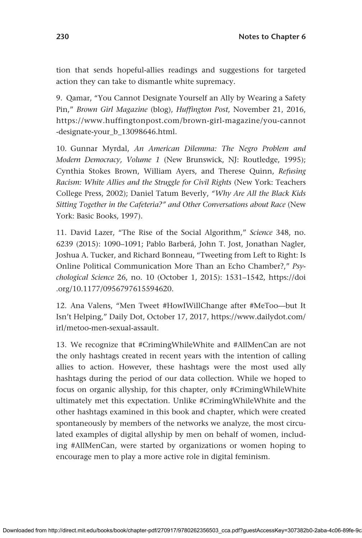tion that sends hopeful-allies readings and suggestions for targeted action they can take to dismantle white supremacy.

9. Qamar, "You Cannot Designate Yourself an Ally by Wearing a Safety Pin," *Brown Girl Magazine* (blog), *Huffington Post*, November 21, 2016, [https://www.huffingtonpost.com/brown-girl-magazine/you-cannot](https://www.huffingtonpost.com/brown-girl-magazine/you-cannot-designate-your_b_13098646.html) [-designate-your\\_b\\_13098646.html](https://www.huffingtonpost.com/brown-girl-magazine/you-cannot-designate-your_b_13098646.html).

10. Gunnar Myrdal, *An American Dilemma: The Negro Problem and Modern Democracy, Volume 1* (New Brunswick, NJ: Routledge, 1995); Cynthia Stokes Brown, William Ayers, and Therese Quinn, *Refusing Racism: White Allies and the Struggle for Civil Rights* (New York: Teachers College Press, 2002); Daniel Tatum Beverly, *"Why Are All the Black Kids Sitting Together in the Cafeteria?" and Other Conversations about Race* (New York: Basic Books, 1997).

11. David Lazer, "The Rise of the Social Algorithm," *Science* 348, no. 6239 (2015): 1090–1091; Pablo Barberá, John T. Jost, Jonathan Nagler, Joshua A. Tucker, and Richard Bonneau, "Tweeting from Left to Right: Is Online Political Communication More Than an Echo Chamber?," *Psychological Science* 26, no. 10 (October 1, 2015): 1531–1542, [https://doi](https://doi.org/10.1177/0956797615594620) [.org/10.1177/0956797615594620](https://doi.org/10.1177/0956797615594620).

12. Ana Valens, "Men Tweet #HowIWillChange after #MeToo—but It Isn't Helping," Daily Dot, October 17, 2017, [https://www.dailydot.com/](https://www.dailydot.com/irl/metoo-men-sexual-assault) [irl/metoo-men-sexual-assault.](https://www.dailydot.com/irl/metoo-men-sexual-assault)

13. We recognize that #CrimingWhileWhite and #AllMenCan are not the only hashtags created in recent years with the intention of calling allies to action. However, these hashtags were the most used ally hashtags during the period of our data collection. While we hoped to focus on organic allyship, for this chapter, only #CrimingWhileWhite ultimately met this expectation. Unlike #CrimingWhileWhite and the other hashtags examined in this book and chapter, which were created spontaneously by members of the networks we analyze, the most circulated examples of digital allyship by men on behalf of women, including #AllMenCan, were started by organizations or women hoping to encourage men to play a more active role in digital feminism.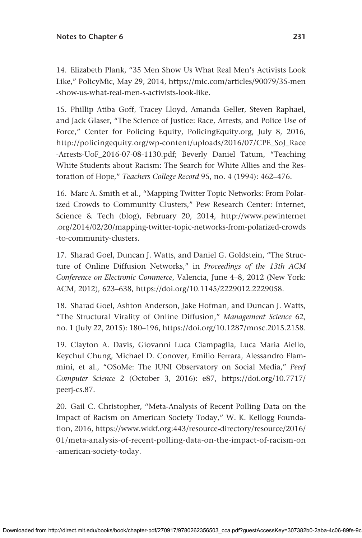14. Elizabeth Plank, "35 Men Show Us What Real Men's Activists Look Like," PolicyMic, May 29, 2014, [https://mic.com/articles/90079/35-men](https://mic.com/articles/90079/35-men-show-us-what-real-men-s-activists-look-like) [-show-us-what-real-men-s-activists-look-like.](https://mic.com/articles/90079/35-men-show-us-what-real-men-s-activists-look-like)

15. Phillip Atiba Goff, Tracey Lloyd, Amanda Geller, Steven Raphael, and Jack Glaser, "The Science of Justice: Race, Arrests, and Police Use of Force," Center for Policing Equity, [PolicingEquity.org](http://PolicingEquity.org), July 8, 2016, [http://policingequity.org/wp-content/uploads/2016/07/CPE\\_SoJ\\_Race](http://policingequity.org/wp-content/uploads/2016/07/CPE_SoJ_Race-Arrests-UoF_2016-07-08-1130.pdf) [-Arrests-UoF\\_2016-07-08-1130.pdf;](http://policingequity.org/wp-content/uploads/2016/07/CPE_SoJ_Race-Arrests-UoF_2016-07-08-1130.pdf) Beverly Daniel Tatum, "Teaching White Students about Racism: The Search for White Allies and the Restoration of Hope," *Teachers College Record* 95, no. 4 (1994): 462–476.

16. Marc A. Smith et al., "Mapping Twitter Topic Networks: From Polarized Crowds to Community Clusters," Pew Research Center: Internet, Science & Tech (blog), February 20, 2014, [http://www.pewinternet](http://www.pewinternet.org/2014/02/20/mapping-twitter-topic-networks-from-polarized-crowds-to-community-clusters) [.org/2014/02/20/mapping-twitter-topic-networks-from-polarized-crowds](http://www.pewinternet.org/2014/02/20/mapping-twitter-topic-networks-from-polarized-crowds-to-community-clusters) [-to-community-clusters.](http://www.pewinternet.org/2014/02/20/mapping-twitter-topic-networks-from-polarized-crowds-to-community-clusters)

17. Sharad Goel, Duncan J. Watts, and Daniel G. Goldstein, "The Structure of Online Diffusion Networks," in *Proceedings of the 13th ACM Conference on Electronic Commerce*, Valencia, June 4–8, 2012 (New York: ACM, 2012), 623–638, [https://doi.org/10.1145/2229012.2229058.](https://doi.org/10.1145/2229012.2229058)

18. Sharad Goel, Ashton Anderson, Jake Hofman, and Duncan J. Watts, "The Structural Virality of Online Diffusion," *Management Science* 62, no. 1 (July 22, 2015): 180–196, [https://doi.org/10.1287/mnsc.2015.2158.](https://doi.org/10.1287/mnsc.2015.2158)

19. Clayton A. Davis, Giovanni Luca Ciampaglia, Luca Maria Aiello, Keychul Chung, Michael D. Conover, Emilio Ferrara, Alessandro Flammini, et al., "OSoMe: The IUNI Observatory on Social Media," *PeerJ Computer Science* 2 (October 3, 2016): e87, [https://doi.org/10.7717/](https://doi.org/10.7717/peerj-cs.87) [peerj-cs.87](https://doi.org/10.7717/peerj-cs.87).

20. Gail C. Christopher, "Meta-Analysis of Recent Polling Data on the Impact of Racism on American Society Today," W. K. Kellogg Foundation, 2016, [https://www.wkkf.org:443/resource-directory/resource/2016/](https://www.wkkf.org:443/resource-directory/resource/2016/01/meta-analysis-of-recent-polling-data-on-the-impact-of-racism-on-american-society-today) [01/meta-analysis-of-recent-polling-data-on-the-impact-of-racism-on](https://www.wkkf.org:443/resource-directory/resource/2016/01/meta-analysis-of-recent-polling-data-on-the-impact-of-racism-on-american-society-today) [-american-society-today.](https://www.wkkf.org:443/resource-directory/resource/2016/01/meta-analysis-of-recent-polling-data-on-the-impact-of-racism-on-american-society-today)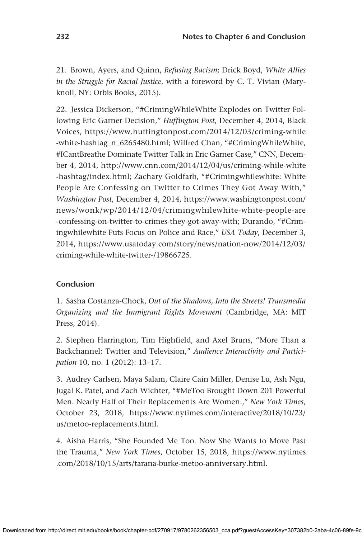21. Brown, Ayers, and Quinn, *Refusing Racism*; Drick Boyd, *White Allies in the Struggle for Racial Justice*, with a foreword by C. T. Vivian (Maryknoll, NY: Orbis Books, 2015).

22. Jessica Dickerson, "#CrimingWhileWhite Explodes on Twitter Following Eric Garner Decision," *Huffington Post*, December 4, 2014, Black Voices, [https://www.huffingtonpost.com/2014/12/03/criming-while](https://www.huffingtonpost.com/2014/12/03/criming-while-white-hashtag_n_6265480.html) [-white-hashtag\\_n\\_6265480.html](https://www.huffingtonpost.com/2014/12/03/criming-while-white-hashtag_n_6265480.html); Wilfred Chan, "#CrimingWhileWhite, #ICantBreathe Dominate Twitter Talk in Eric Garner Case," CNN, December 4, 2014, [http://www.cnn.com/2014/12/04/us/criming-while-white](http://www.cnn.com/2014/12/04/us/criming-while-white-hashtag/index.html) [-hashtag/index.html;](http://www.cnn.com/2014/12/04/us/criming-while-white-hashtag/index.html) Zachary Goldfarb, "#Crimingwhilewhite: White People Are Confessing on Twitter to Crimes They Got Away With," *Washington Post*, December 4, 2014, [https://www.washingtonpost.com/](https://www.washingtonpost.com/news/wonk/wp/2014/12/04/crimingwhilewhite-white-people-are-confessing-on-twitter-to-crimes-they-got-away-with) [news/wonk/wp/2014/12/04/crimingwhilewhite-white-people-are](https://www.washingtonpost.com/news/wonk/wp/2014/12/04/crimingwhilewhite-white-people-are-confessing-on-twitter-to-crimes-they-got-away-with) [-confessing-on-twitter-to-crimes-they-got-away-with](https://www.washingtonpost.com/news/wonk/wp/2014/12/04/crimingwhilewhite-white-people-are-confessing-on-twitter-to-crimes-they-got-away-with); Durando, "#Crimingwhilewhite Puts Focus on Police and Race," *USA Today*, December 3, 2014, [https://www.usatoday.com/story/news/nation-now/2014/12/03/](https://www.usatoday.com/story/news/nation-now/2014/12/03/criming-while-white-twitter-/19866725) [criming-while-white-twitter-/19866725.](https://www.usatoday.com/story/news/nation-now/2014/12/03/criming-while-white-twitter-/19866725)

### **Conclusion**

1. Sasha Costanza-Chock, *Out of the Shadows, Into the Streets! Transmedia Organizing and the Immigrant Rights Movement* (Cambridge, MA: MIT Press, 2014).

2. Stephen Harrington, Tim Highfield, and Axel Bruns, "More Than a Backchannel: Twitter and Television," *Audience Interactivity and Participation* 10, no. 1 (2012): 13–17.

3. Audrey Carlsen, Maya Salam, Claire Cain Miller, Denise Lu, Ash Ngu, Jugal K. Patel, and Zach Wichter, "#MeToo Brought Down 201 Powerful Men. Nearly Half of Their Replacements Are Women.," *New York Times*, October 23, 2018, [https://www.nytimes.com/interactive/2018/10/23/](https://www.nytimes.com/interactive/2018/10/23/us/metoo-replacements.html) [us/metoo-replacements.html](https://www.nytimes.com/interactive/2018/10/23/us/metoo-replacements.html).

4. Aisha Harris, "She Founded Me Too. Now She Wants to Move Past the Trauma," *New York Times*, October 15, 2018, [https://www.nytimes](https://www.nytimes.com/2018/10/15/arts/tarana-burke-metoo-anniversary.html) [.com/2018/10/15/arts/tarana-burke-metoo-anniversary.html.](https://www.nytimes.com/2018/10/15/arts/tarana-burke-metoo-anniversary.html)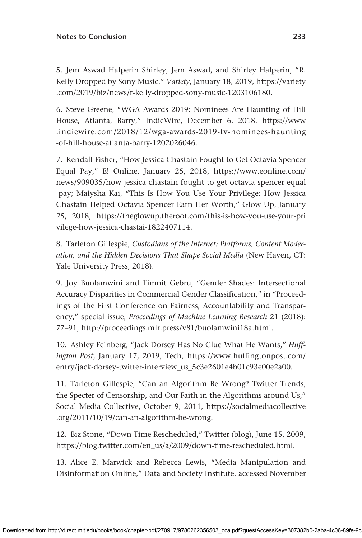#### **Notes to Conclusion 233**

5. Jem Aswad Halperin Shirley, Jem Aswad, and Shirley Halperin, "R. Kelly Dropped by Sony Music," *Variety*, January 18, 2019, [https://variety](https://variety.com/2019/biz/news/r-kelly-dropped-sony-music-1203106180) [.com/2019/biz/news/r-kelly-dropped-sony-music-1203106180](https://variety.com/2019/biz/news/r-kelly-dropped-sony-music-1203106180).

6. Steve Greene, "WGA Awards 2019: Nominees Are Haunting of Hill House, Atlanta, Barry," IndieWire, December 6, 2018, [https://www](https://www.indiewire.com/2018/12/wga-awards-2019-tv-nominees-haunting-of-hill-house-atlanta-barry-1202026046) [.indiewire.com/2018/12/wga-awards-2019-tv-nominees-haunting](https://www.indiewire.com/2018/12/wga-awards-2019-tv-nominees-haunting-of-hill-house-atlanta-barry-1202026046) [-of-hill-house-atlanta-barry-1202026046.](https://www.indiewire.com/2018/12/wga-awards-2019-tv-nominees-haunting-of-hill-house-atlanta-barry-1202026046)

7. Kendall Fisher, "How Jessica Chastain Fought to Get Octavia Spencer Equal Pay," E! Online, January 25, 2018, [https://www.eonline.com/](https://www.eonline.com/news/909035/how-jessica-chastain-fought-to-get-octavia-spencer-equal-pay) [news/909035/how-jessica-chastain-fought-to-get-octavia-spencer-equal](https://www.eonline.com/news/909035/how-jessica-chastain-fought-to-get-octavia-spencer-equal-pay) [-pay;](https://www.eonline.com/news/909035/how-jessica-chastain-fought-to-get-octavia-spencer-equal-pay) Maiysha Kai, "This Is How You Use Your Privilege: How Jessica Chastain Helped Octavia Spencer Earn Her Worth," Glow Up, January 25, 2018, [https://theglowup.theroot.com/this-is-how-you-use-your-pri](https://theglowup.theroot.com/this-is-how-you-use-your-privilege-how-jessica-chastai-1822407114) [vilege-how-jessica-chastai-1822407114](https://theglowup.theroot.com/this-is-how-you-use-your-privilege-how-jessica-chastai-1822407114).

8. Tarleton Gillespie, *Custodians of the Internet: Platforms, Content Moderation, and the Hidden Decisions That Shape Social Media* (New Haven, CT: Yale University Press, 2018).

9. Joy Buolamwini and Timnit Gebru, "Gender Shades: Intersectional Accuracy Disparities in Commercial Gender Classification," in "Proceedings of the First Conference on Fairness, Accountability and Transparency," special issue, *Proceedings of Machine Learning Research* 21 (2018): 77–91, <http://proceedings.mlr.press/v81/buolamwini18a.html>.

10. Ashley Feinberg, "Jack Dorsey Has No Clue What He Wants," *Huffington Post*, January 17, 2019, Tech, [https://www.huffingtonpost.com/](https://www.huffingtonpost.com/entry/jack-dorsey-twitter-interview_us_5c3e2601e4b01c93e00e2a00) [entry/jack-dorsey-twitter-interview\\_us\\_5c3e2601e4b01c93e00e2a00.](https://www.huffingtonpost.com/entry/jack-dorsey-twitter-interview_us_5c3e2601e4b01c93e00e2a00)

11. Tarleton Gillespie, "Can an Algorithm Be Wrong? Twitter Trends, the Specter of Censorship, and Our Faith in the Algorithms around Us," Social Media Collective, October 9, 2011, [https://socialmediacollective](https://socialmediacollective.org/2011/10/19/can-an-algorithm-be-wrong) [.org/2011/10/19/can-an-algorithm-be-wrong](https://socialmediacollective.org/2011/10/19/can-an-algorithm-be-wrong).

12. Biz Stone, "Down Time Rescheduled," Twitter (blog), June 15, 2009, [https://blog.twitter.com/en\\_us/a/2009/down-time-rescheduled.html](https://blog.twitter.com/en_us/a/2009/down-time-rescheduled.html).

13. Alice E. Marwick and Rebecca Lewis, "Media Manipulation and Disinformation Online," Data and Society Institute, accessed November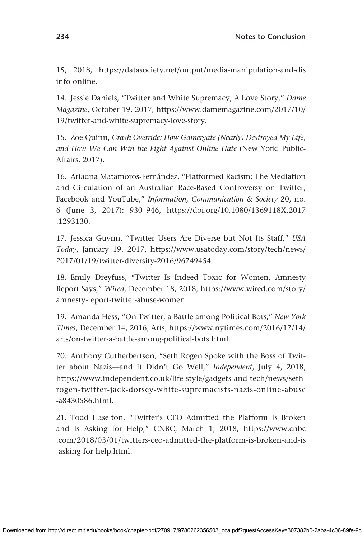15, 2018, [https://datasociety.net/output/media-manipulation-and-dis](https://datasociety.net/output/media-manipulation-and-disinfo-online) [info-online.](https://datasociety.net/output/media-manipulation-and-disinfo-online)

14. Jessie Daniels, "Twitter and White Supremacy, A Love Story," *Dame Magazine*, October 19, 2017, [https://www.damemagazine.com/2017/10/](https://www.damemagazine.com/2017/10/19/twitter-and-white-supremacy-love-story) [19/twitter-and-white-supremacy-love-story](https://www.damemagazine.com/2017/10/19/twitter-and-white-supremacy-love-story).

15. Zoe Quinn, *Crash Override: How Gamergate (Nearly) Destroyed My Life, and How We Can Win the Fight Against Online Hate* (New York: Public-Affairs, 2017).

16. Ariadna Matamoros-Fernández, "Platformed Racism: The Mediation and Circulation of an Australian Race-Based Controversy on Twitter, Facebook and YouTube," *Information, Communication & Society* 20, no. 6 (June 3, 2017): 930–946, [https://doi.org/10.1080/1369118X.2017](https://doi.org/10.1080/1369118X.2017.1293130) [.1293130](https://doi.org/10.1080/1369118X.2017.1293130).

17. Jessica Guynn, "Twitter Users Are Diverse but Not Its Staff," *USA Today*, January 19, 2017, [https://www.usatoday.com/story/tech/news/](https://www.usatoday.com/story/tech/news/2017/01/19/twitter-diversity-2016/96749454) [2017/01/19/twitter-diversity-2016/96749454.](https://www.usatoday.com/story/tech/news/2017/01/19/twitter-diversity-2016/96749454)

18. Emily Dreyfuss, "Twitter Is Indeed Toxic for Women, Amnesty Report Says," *Wired*, December 18, 2018, [https://www.wired.com/story/](https://www.wired.com/story/amnesty-report-twitter-abuse-women) [amnesty-report-twitter-abuse-women.](https://www.wired.com/story/amnesty-report-twitter-abuse-women)

19. Amanda Hess, "On Twitter, a Battle among Political Bots," *New York Times*, December 14, 2016, Arts, [https://www.nytimes.com/2016/12/14/](https://www.nytimes.com/2016/12/14/arts/on-twitter-a-battle-among-political-bots.html) [arts/on-twitter-a-battle-among-political-bots.html](https://www.nytimes.com/2016/12/14/arts/on-twitter-a-battle-among-political-bots.html).

20. Anthony Cutherbertson, "Seth Rogen Spoke with the Boss of Twitter about Nazis—and It Didn't Go Well," *Independent*, July 4, 2018, [https://www.independent.co.uk/life-style/gadgets-and-tech/news/seth](https://www.independent.co.uk/life-style/gadgets-and-tech/news/seth-rogen-twitter-jack-dorsey-white-supremacists-nazis-online-abuse-a8430586.html)[rogen-twitter-jack-dorsey-white-supremacists-nazis-online-abuse](https://www.independent.co.uk/life-style/gadgets-and-tech/news/seth-rogen-twitter-jack-dorsey-white-supremacists-nazis-online-abuse-a8430586.html) [-a8430586.html](https://www.independent.co.uk/life-style/gadgets-and-tech/news/seth-rogen-twitter-jack-dorsey-white-supremacists-nazis-online-abuse-a8430586.html).

21. Todd Haselton, "Twitter's CEO Admitted the Platform Is Broken and Is Asking for Help," CNBC, March 1, 2018, [https://www.cnbc](https://www.cnbc.com/2018/03/01/twitters-ceo-admitted-the-platform-is-broken-and-is-asking-for-help.html) [.com/2018/03/01/twitters-ceo-admitted-the-platform-is-broken-and-is](https://www.cnbc.com/2018/03/01/twitters-ceo-admitted-the-platform-is-broken-and-is-asking-for-help.html) [-asking-for-help.html](https://www.cnbc.com/2018/03/01/twitters-ceo-admitted-the-platform-is-broken-and-is-asking-for-help.html).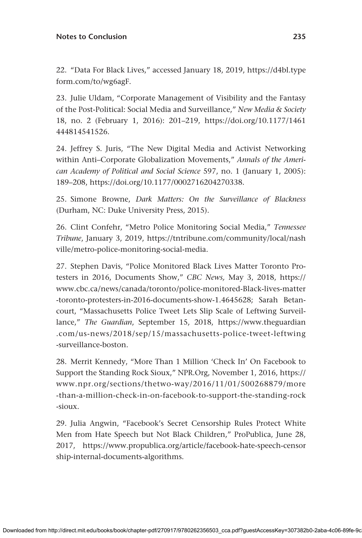#### **Notes to Conclusion 235**

22. "Data For Black Lives," accessed January 18, 2019, [https://d4bl.type](https://d4bl.typeform.com/to/wg6agF) [form.com/to/wg6agF](https://d4bl.typeform.com/to/wg6agF).

23. Julie Uldam, "Corporate Management of Visibility and the Fantasy of the Post-Political: Social Media and Surveillance," *New Media & Society* 18, no. 2 (February 1, 2016): 201–219, [https://doi.org/10.1177/1461](https://doi.org/10.1177/1461444814541526) [444814541526.](https://doi.org/10.1177/1461444814541526)

24. Jeffrey S. Juris, "The New Digital Media and Activist Networking within Anti–Corporate Globalization Movements," *Annals of the American Academy of Political and Social Science* 597, no. 1 (January 1, 2005): 189–208,<https://doi.org/10.1177/0002716204270338>.

25. Simone Browne, *Dark Matters: On the Surveillance of Blackness* (Durham, NC: Duke University Press, 2015).

26. Clint Confehr, "Metro Police Monitoring Social Media," *Tennessee Tribune*, January 3, 2019, [https://tntribune.com/community/local/nash](https://tntribune.com/community/local/nashville/metro-police-monitoring-social-media) [ville/metro-police-monitoring-social-media](https://tntribune.com/community/local/nashville/metro-police-monitoring-social-media).

27. Stephen Davis, "Police Monitored Black Lives Matter Toronto Protesters in 2016, Documents Show," *CBC News,* May 3, 2018, [https://](https://www.cbc.ca/news/canada/toronto/police-monitored-Black-lives-matter-toronto-protesters-in-2016-documents-show-1.4645628) [www.cbc.ca/news/canada/toronto/police-monitored-Black-lives-matter](https://www.cbc.ca/news/canada/toronto/police-monitored-Black-lives-matter-toronto-protesters-in-2016-documents-show-1.4645628) [-toronto-protesters-in-2016-documents-show-1.4645628](https://www.cbc.ca/news/canada/toronto/police-monitored-Black-lives-matter-toronto-protesters-in-2016-documents-show-1.4645628); Sarah Betancourt, "Massachusetts Police Tweet Lets Slip Scale of Leftwing Surveillance," *The Guardian*, September 15, 2018, [https://www.theguardian](https://www.theguardian.com/us-news/2018/sep/15/massachusetts-police-tweet-leftwing-surveillance-boston) [.com/us-news/2018/sep/15/massachusetts-police-tweet-leftwing](https://www.theguardian.com/us-news/2018/sep/15/massachusetts-police-tweet-leftwing-surveillance-boston) [-surveillance-boston.](https://www.theguardian.com/us-news/2018/sep/15/massachusetts-police-tweet-leftwing-surveillance-boston)

28. Merrit Kennedy, "More Than 1 Million 'Check In' On Facebook to Support the Standing Rock Sioux," NPR.Org, November 1, 2016, [https://](https://www.npr.org/sections/thetwo-way/2016/11/01/500268879/more-than-a-million-check-in-on-facebook-to-support-the-standing-rock-sioux) [www.npr.org/sections/thetwo-way/2016/11/01/500268879/more](https://www.npr.org/sections/thetwo-way/2016/11/01/500268879/more-than-a-million-check-in-on-facebook-to-support-the-standing-rock-sioux) [-than-a-million-check-in-on-facebook-to-support-the-standing-rock](https://www.npr.org/sections/thetwo-way/2016/11/01/500268879/more-than-a-million-check-in-on-facebook-to-support-the-standing-rock-sioux) [-sioux.](https://www.npr.org/sections/thetwo-way/2016/11/01/500268879/more-than-a-million-check-in-on-facebook-to-support-the-standing-rock-sioux)

29. Julia Angwin, "Facebook's Secret Censorship Rules Protect White Men from Hate Speech but Not Black Children," ProPublica, June 28, 2017, [https://www.propublica.org/article/facebook-hate-speech-censor](https://www.propublica.org/article/facebook-hate-speech-censorship-internal-documents-algorithms) [ship-internal-documents-algorithms](https://www.propublica.org/article/facebook-hate-speech-censorship-internal-documents-algorithms).